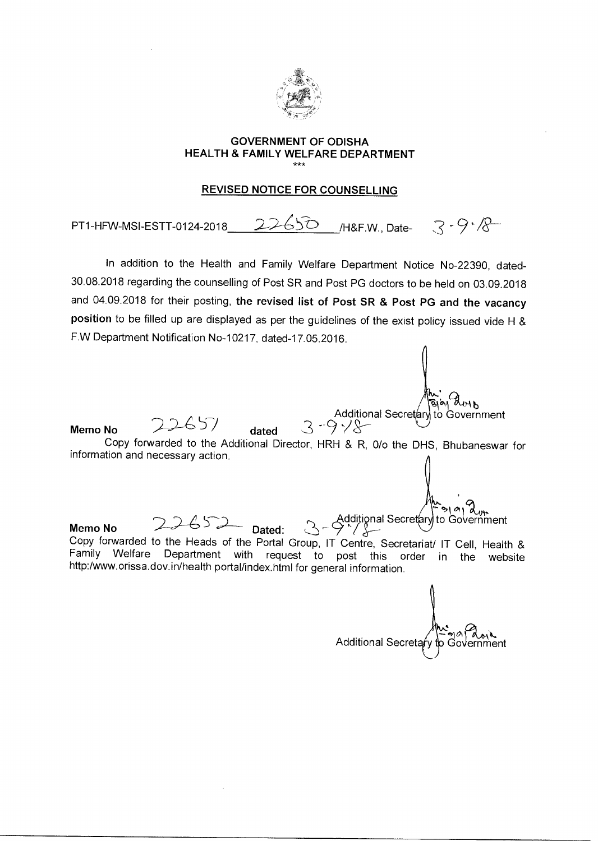

## **GOVERNMENT OF ODISHA HEALTH & FAMILY WELFARE DEPARTMENT**  \*\*\*

## **REVISED NOTICE FOR COUNSELLING**

PT1-HFW-MSI-ESTT-0124-2018 22650 /H&F.W., Date-  $3 - 9 - 8$ 

In addition to the Health and Family Welfare Department Notice No-22390, dated-30.08.2018 regarding the counselling of Post SR and Post PG doctors to be held on 03.09.2018 and 04.09.2018 for their posting, **the revised list of Post SR & Post PG and the vacancy position** to be filled up are displayed as per the guidelines of the exist policy issued vide H & F.W Department Notification No-10217, dated-17.05.2016.

Color March 1919<br>Additional Secretary to Government **Memo No** 22652 Dated: Copy forwarded to the Heads of the Portal Group, IT Centre, Secretariat/ IT Cell, Health & Family Welfare Department with request to post this order in the website http:/www.orissa.dov.in/health portal/index.html for general information. ':>1

Copy forwarded to the Additional Director, HRH & R, 0/o the DHS, Bhubaneswar for

**Memo No** 22657 **dated** 

information and necessary action.

Additional Secretary to Govern

Additional Secretary to Government<br>3 -9  $\sqrt{8}$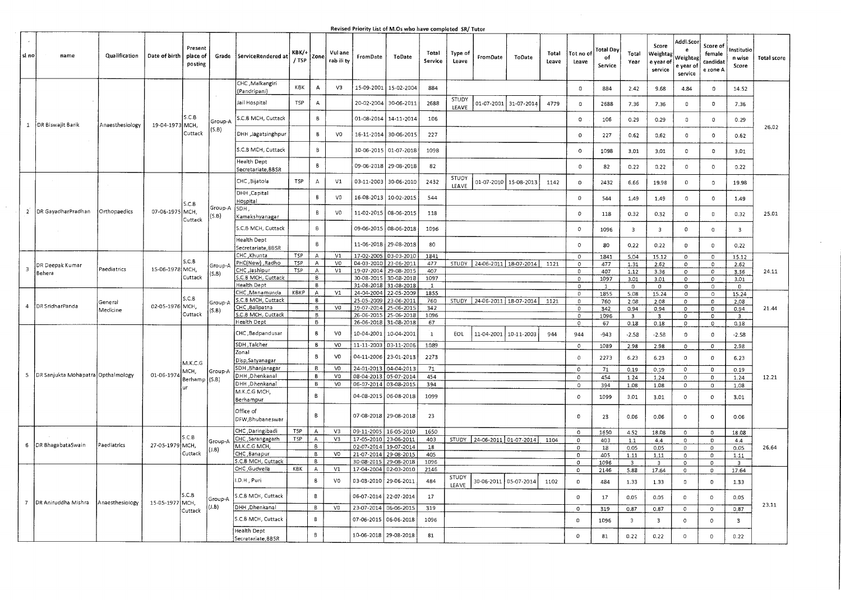| lsi no         | name                                   | Qualification   | Date of birth   | Present<br>place of<br>posting | Grade            | ServiceRendered at                       | квк/+<br>/ TSP           | Zone         | Vul ane<br>rab ili ty | FromDate                            | <b>ToDate</b>                                  | Total<br>Service | <b>Type of</b><br>Leave | FromDate              | ToDate                                 | Total<br>Leave | Tot no of<br>Leave  | Total Dav<br>of<br>Service | Total<br>Year                   | Score<br>Weighta<br>e year of<br>service | Addl.Sco<br>Weighta<br>e year o<br>service | Score of<br>female<br>candidat<br>e zone A | nstitutio<br>n wise<br>Score | <b>Total score</b> |
|----------------|----------------------------------------|-----------------|-----------------|--------------------------------|------------------|------------------------------------------|--------------------------|--------------|-----------------------|-------------------------------------|------------------------------------------------|------------------|-------------------------|-----------------------|----------------------------------------|----------------|---------------------|----------------------------|---------------------------------|------------------------------------------|--------------------------------------------|--------------------------------------------|------------------------------|--------------------|
|                |                                        |                 |                 |                                |                  | CHC, Malkangiri<br>Pandripani)           | KBK                      | $\mathbf A$  | V3                    | 15-09-2001                          | 15-02-2004                                     | 884              |                         |                       |                                        |                | $\Omega$            | 884                        | 2.42                            | 9.68                                     | 4.84                                       | $\Omega$                                   | 14.52                        |                    |
|                |                                        |                 |                 |                                |                  | Jail Hospital                            | TSP                      | А            |                       | 20-02-2004                          | 30-06-2011                                     | 2688             | STUDY<br>LEAVE          | 01-07-2001            | 31-07-2014                             | 4779           | $\Omega$            | 2688                       | 7.36                            | 7.36                                     | O                                          | $\mathbf{D}$                               | 7.36                         |                    |
|                |                                        |                 |                 | S.C.B                          | Group-A          | S.C.B MCH, Cuttack                       |                          | $\mathsf{B}$ |                       | 01-08-2014                          | 14-11-2014                                     | 106              |                         |                       |                                        |                | $\circ$             | 106                        | 0.29                            | 0.29                                     | $\circ$                                    | $\mathbb O$                                | 0.29                         |                    |
|                | 1 DR Biswajit Barik                    | Anaesthesiology | 19-04-1973 MCH  | Cuttack                        | (5.8)            | DHH Jagatsinghpur                        |                          | В            | VO                    | 16-11-2014                          | 30-06-2015                                     | 227              |                         |                       |                                        |                | $\Omega$            | 227                        | 0.62                            | 0.62                                     | $\circ$                                    | $\Omega$                                   | 0.62                         | 26.02              |
|                |                                        |                 |                 |                                |                  | S.C.B MCH, Cuttack                       |                          | Β            |                       | 30-06-2015                          | 01-07-2018                                     | 1098             |                         |                       |                                        |                | $\circ$             | 1098                       | 3.01                            | 3.01                                     | O                                          | $\mathbf{D}$                               | 3.01                         |                    |
|                |                                        |                 |                 |                                |                  | lealth Dept<br>Secretariate, BBSR        |                          | $\mathsf B$  |                       | 09-06-2018                          | 29-08-2018                                     | 82               |                         |                       |                                        |                | $\circ$             | 82                         | 0.22                            | 0.22                                     | 0                                          | 0                                          | 0.22                         |                    |
|                |                                        |                 |                 |                                |                  | CHC, Bijatola                            | TSP                      | $\Delta$     | V1                    | 03-11-2003                          | 30-06-2010                                     | 2432             | STUDY<br>LEAVE          | $01 - 07 - 2010$      | 15-08-2013                             | 1142           | $\mathbf 0$         | 2432                       | 6.66                            | 19.98                                    | $\mathbb O$                                | $\Omega$                                   | 19.98                        |                    |
|                |                                        |                 |                 |                                |                  | DHH, Capital<br>Hospital                 |                          | 8            | VO                    | 16-08-2013                          | 10-02-2015                                     | 544              |                         |                       |                                        |                | $\mathbb O$         | 544                        | 1.49                            | 1.49                                     | $\Omega$                                   | $\circ$                                    | 1.49                         |                    |
| $\overline{2}$ | DR GayadharPradhan                     | Orthopaedics    | 07-06-1975 MCH, | S.C.B.                         | Group-A<br>(5.B) | SDH.<br>Kamakshyanagar                   |                          | 8            | VO                    | 11-02-2015                          | 08-06-2015                                     | 118              |                         |                       |                                        |                | $\circ$             | 118                        | 0.32                            | 0.32                                     | $\,$ 0 $\,$                                | $\mathbf 0$                                | 0.32                         | 25.01              |
|                |                                        |                 |                 | Cuttack                        |                  | S.C.B MCH, Cuttack                       |                          | B            |                       | 09-06-2015                          | 08-06-2018                                     | 1096             |                         |                       |                                        |                | $\circ$             | 1096                       | $\overline{\mathbf{3}}$         | $\overline{3}$                           | $\mathbb O$                                | $\circ$                                    | $\overline{\mathbf{3}}$      |                    |
|                |                                        |                 |                 |                                |                  | <b>Health Dept</b><br>Secretariate, BBSR |                          | В            |                       | 11-06-2018                          | 29-08-2018                                     | 80               |                         |                       |                                        |                | $\circ$             | 80                         | 0.22                            | 0.22                                     | $\mathbf{0}$                               | O                                          | 0.22                         |                    |
|                |                                        |                 |                 | S.C.B.                         |                  | CHC, Khunta                              | TSP                      | Α            | V1                    | 17-02-2005                          | 03-03-2010                                     | 1841             |                         |                       |                                        |                | $\Omega$            | 1841                       | 5.04                            | 15.12                                    | 0                                          | $\mathbf 0$                                | 15.12                        |                    |
| 3              | DR Deepak Kumar                        | Paediatrics     | 15-06-1978 MCH, |                                | Group-A          | PHC(New) Radho<br>CHC , Jashipur         | <b>TSP</b><br><b>TSP</b> | A<br>Α       | V <sub>0</sub><br>V1  |                                     | 04-03-2010 23-06-2011<br>19-07-2014 29-08-2015 | 477<br>407       |                         |                       | STUDY   24-06-2011   18-07-2014   1121 |                | $\mathbf{0}$        | 477                        | 1.31                            | 2.62                                     | 0                                          | $\mathbf 0$                                | 2.62                         |                    |
|                | Behera                                 |                 |                 | Cuttack                        | (S.B)            | .C.B MCH, Cuttack                        |                          | B            |                       | 30-08-2015                          | 30-08-2018                                     | 1097             |                         |                       |                                        |                | 0<br>$\Omega$       | 407<br>1097                | 1.12<br>3.01                    | 3.36<br>3.01                             | $\circ$<br>$\circ$                         | $\circ$<br>$\circ$                         | 3.36<br>3.01                 | 24.11              |
|                |                                        |                 |                 |                                |                  | Health Dept                              |                          | В            |                       | 31-08-2018                          | 31-08-2018                                     | $\mathbf{1}$     |                         |                       |                                        |                | $\circ$             | $\mathbf{1}$               | $\circ$                         | $\circ$                                  | $\circ$                                    | $\circ$                                    | O                            |                    |
|                |                                        |                 |                 |                                |                  | CHC, Manamunda                           | KBKP                     | A            | V1                    | 24-04-2004                          | 22-05-2009                                     | 1855             |                         |                       |                                        |                | $\mathsf{O}$        | 1855                       | 5.08                            | 15.24                                    | $\circ$                                    | $\circ$                                    | 15.24                        |                    |
| $\overline{a}$ | DR SridharPanda                        | General         | 02-05-1976 MCH, | S.C.B                          | Group-A          | .C.B MCH, Cuttack                        |                          | В            |                       | 25-05-2009                          | 23-06-2011                                     | 760              |                         |                       | STUDY 24-06-2011 18-07-2014 1121       |                | 0                   | 760                        | 2.08                            | 2.08                                     | $\overline{0}$                             | $\overline{0}$                             | 2.08                         |                    |
|                |                                        | Medicine        |                 | Cuttack                        | (S.B)            | CHC, Balipatna<br>S.C.B MCH, Cuttack     |                          | 8<br>В       | VO                    | 19-07-2014<br>26-06-2015            | 25-06-2015<br>25-06-2018                       | 342<br>1096      |                         |                       |                                        |                | 0                   | 342                        | 0.94                            | 0.94                                     | $\mathbf{0}$                               | o                                          | 0.94                         | 21.44              |
|                |                                        |                 |                 |                                |                  | <b>Health Dept</b>                       |                          | в            |                       | 26-06-2018                          | 31-08-2018                                     | 67               |                         |                       |                                        |                | 0<br>$\mathbf{0}$   | 1096<br>67                 | $\overline{\mathbf{3}}$<br>0.18 | $\overline{\mathbf{3}}$<br>0.18          | $\mathbb O$<br>$\mathbb O$                 | O<br>0                                     | $\overline{3}$<br>0.18       |                    |
|                |                                        |                 |                 |                                |                  | CHC, Badpandusar                         |                          | Β.           | VO                    | 10-04-2001                          | 10-04-2001                                     | $\mathbf{1}$     | EOL                     | 11-04-2001 10-11-2003 |                                        | 944            | 944                 | $-943$                     | $-2.58$                         | $-2.58$                                  | $\Omega$                                   | $\Omega$                                   | $-2.58$                      |                    |
|                |                                        |                 |                 |                                |                  | SDH ,Talcher                             |                          | 8            | V0                    | 11-11-2003                          | 03-11-2006                                     | 1089             |                         |                       |                                        |                | $\mathbb O$         | 1089                       | 2.98                            | 2.98                                     | $\mathbb O$                                | $\circ$                                    | 2.98                         |                    |
|                |                                        |                 |                 |                                |                  | Zonal                                    |                          | В            | VD                    | 04-11-2006                          | 23-01-2013                                     | 2273             |                         |                       |                                        |                | $\circ$             | 2273                       | 6.23                            | 6.23                                     | $\circ$                                    | $\mathbf{0}$                               | 6.23                         |                    |
|                |                                        |                 |                 | M.K.C.G                        |                  | Disp, Satyanagar                         |                          |              |                       |                                     |                                                |                  |                         |                       |                                        |                |                     |                            |                                 |                                          |                                            |                                            |                              |                    |
|                | 5   DR Sanjukta Mohapatra Opthalmology |                 | 01-06-197       | MCH,                           | Group-A          | SDH, Bhanjanagar<br>DHH, Dhenkanal       |                          | В<br>В       | V0<br>VO              | 24-01-2013                          | 04-04-2013                                     | 71               |                         |                       |                                        |                | $\mathbf{0}$        | 71                         | 0.19                            | 0.19                                     | $\mathbf{0}$                               | $\mathbb O$                                | 0.19                         |                    |
|                |                                        |                 |                 | Berhamp (S.B)                  |                  | DHH , Dhenkana!                          |                          | В            | VO                    | 08-04-2013<br>06-07-2014 03-08-2015 | 05-07-2014                                     | 454<br>394       |                         |                       |                                        |                | $\Omega$            | 454<br>394                 | 1.24                            | 1.24                                     | $\circ$                                    | $\mathbf{0}$                               | 1.24                         | 12.21              |
|                |                                        |                 |                 |                                |                  | M.K.C.G MCH,                             |                          |              |                       |                                     |                                                |                  |                         |                       |                                        |                | 0                   |                            | 1.08                            | 1.08                                     | 0                                          | $\,$ 0                                     | 1.08                         |                    |
|                |                                        |                 |                 |                                |                  | Berhampur                                |                          | в            |                       | 04-08-2015                          | 06-08-2018                                     | 1099             |                         |                       |                                        |                | $\circ$             | 1099                       | 3,01                            | 3.01                                     | $\circ$                                    | $\mathbb O$                                | 3.01                         |                    |
|                |                                        |                 |                 |                                |                  | Office of<br>DFW, Bhubaneswar            |                          | B            |                       | 07-08-2018 29-08-2018               |                                                | 23               |                         |                       |                                        |                | $\overline{0}$      | 23                         | 0.06                            | 0.06                                     | $\circ$                                    | $\circ$                                    | 0.06                         |                    |
|                |                                        |                 |                 |                                |                  | CHC, Daringibadi                         | T5P                      | $\mathsf A$  | V3                    | 09-11-2005   16-05-2010             |                                                | 1650             |                         |                       |                                        |                | $\circ$             | 1650                       | 4.52                            | 18.08                                    | $\circ$                                    | $\circ$                                    | 18.08                        |                    |
|                |                                        |                 |                 | S.C.B                          | Group-A          | CHC, Sarangagarh                         | TSP                      | $\mathsf A$  | V3                    | 17-05-2010 23-06-2011               |                                                | 403              |                         |                       | STUDY 24-06-2011 01-07-2014 1104       |                | $\circ$             | 403                        | 1.1                             | 4.4                                      | $\circ$                                    | $\mathbf{D}$                               | 4.4                          |                    |
|                | 6   DR BhagabataSwain                  | Paediatrics     | 27-05-1979 MCH, |                                | J.B)             | M.K.C.G MCH                              |                          | в            |                       | 02-07-2014 19-07-2014               |                                                | 18               |                         |                       |                                        |                | $\circ$             | 18                         | 0.05                            | 0.05                                     | $\circ$                                    | $\circ$                                    | 0.05                         | 26.64              |
|                |                                        |                 |                 | Cuttack                        |                  | CHC, Banapur<br>S.C.B MCH, Cuttack       |                          | В<br>B       | VD                    | 21-07-2014<br>30-08-2015            | 29-08-2015                                     | 405              |                         |                       |                                        |                | $\mathbf 0$         | 405                        | 1.11                            | 1.11                                     | $\circ$                                    | $\circ$                                    | 1.11                         |                    |
|                |                                        |                 |                 |                                |                  | CHC , Gudvella                           | KBK                      | А            | V1                    | 17-04-2004                          | 29-08-2018<br>02-03-2010                       | 1096<br>2146     |                         |                       |                                        |                | $\sigma$<br>$\circ$ | 1096                       | $\overline{\mathbf{3}}$         | $\overline{3}$                           | $\circ$                                    | $\circ$                                    | $\overline{3}$               |                    |
|                |                                        |                 |                 |                                |                  | I.D.H., Puri                             |                          | В            | V <sub>0</sub>        | 03-03-2010                          | 29-06-2011                                     | 484              | <b>STUDY</b><br>LEAVE   | 30-06-2011            | 05-07-2014                             | 1102           | $\mathsf D$         | 2146<br>484                | 5.88<br>1.33                    | 17.64<br>1.33                            | $\mathsf{o}\,$<br>$\Omega$                 | $\mathbf 0$<br>$\mathbf{O}$                | 17.64<br>1.33                |                    |
|                | 7 DR Aniruddha Mishra                  | Anaesthesiology | 15-05-1977 MCH, | S.C.B                          | Group-A          | S.C.B MCH, Cuttack                       |                          | $\,$ B       |                       | 06-07-2014                          | 22-07-2014                                     | 17               |                         |                       |                                        |                | $\circ$             | 17                         | 0.05                            | 0.05                                     | 0                                          | $\mathsf D$                                | 0.05                         |                    |
|                |                                        |                 |                 | Cuttack                        | J.B)             | DHH , Dhenkanal                          |                          | B            | VD                    | 23-07-2014                          | 06-06-2015                                     | 319              |                         |                       |                                        |                | $\circ$             | 319                        | 0.87                            | 0.87                                     | $\circ$                                    | $\mathbf 0$                                | 0.87                         | 23.11              |
|                |                                        |                 |                 |                                |                  | S.C.B MCH, Cuttack                       |                          | В            |                       | 07-06-2015                          | 06-06-2018                                     | 1096             |                         |                       |                                        |                | 0                   | 1096                       | $\overline{\mathbf{3}}$         | $\overline{\mathbf{3}}$                  | 0                                          | $\mathbb O$                                | з                            |                    |
|                |                                        |                 |                 |                                |                  | <b>Health Dept</b><br>Secretariate, BB5R |                          | B            |                       | 10-06-2018                          | 29-08-2018                                     | 81               |                         |                       |                                        |                | $\circ$             | 81                         | 0.22                            | 0.22                                     | 0                                          | $\Omega$                                   | 0.22                         |                    |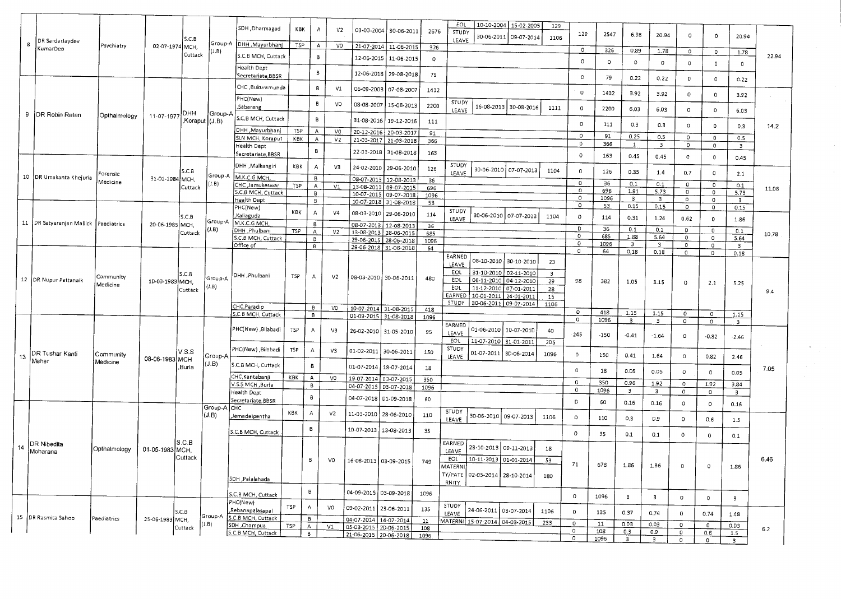|    |                                           |                       |                 |         |                          | SDH , Dharmagad                     | <b>KBK</b> | A                 | V2             | 03-03-2004               | 30-06-2011                                     | 2676        | EOL<br>10-10-2004 15-02-2005<br>129<br>STUDY                      | 129                    | 2547         | 6.98                            | 20.94                   | 0                         |                                    |                         |       |
|----|-------------------------------------------|-----------------------|-----------------|---------|--------------------------|-------------------------------------|------------|-------------------|----------------|--------------------------|------------------------------------------------|-------------|-------------------------------------------------------------------|------------------------|--------------|---------------------------------|-------------------------|---------------------------|------------------------------------|-------------------------|-------|
| 8  | DR SardarJaydev                           | Psychiatry            | 02-07-1974 MCH, | SCB     | Group-A                  | DHH , Mayurbhani                    | TSP        | A                 | VO             | 21-07-2014               |                                                |             | 30-06-2011<br>09-07-2014<br>1106<br>LEAVE                         |                        |              |                                 |                         |                           | 0                                  | 20.94                   |       |
|    | KumarDeo                                  |                       |                 | Cuttack | (J.B)                    | S.C.B MCH, Cuttack                  |            | В                 |                |                          | 11-06-2015                                     | 326         |                                                                   | 0                      | 326          | 0.89                            | 1.78                    | $\mathbf 0$               | $\mathbf 0$                        | 1.78                    | 22.94 |
|    |                                           |                       |                 |         |                          | Health Dept                         |            |                   |                | 12-06-2015               | 11-06-2015                                     | $\circ$     |                                                                   | $\circ$                | $\mathsf{o}$ | $\mathbf 0$                     | $\circ$                 | $\mathsf{O}$              | $\mathbf{0}$                       | $\mathbf 0$             |       |
|    |                                           |                       |                 |         |                          | Secretariate, BBSR                  |            | B                 |                | 12-06-2018               | 29-08-2018                                     | 79          |                                                                   | $\circ$                | 79           | 0.22                            | 0.22                    |                           |                                    |                         |       |
|    |                                           |                       |                 |         |                          | CHC , Bukuramunda                   |            | в                 | V1             |                          | 06-09-2003 07-08-2007                          |             |                                                                   |                        |              |                                 |                         | $\mathbf 0$               | $\mathbf 0$                        | 0.22                    |       |
|    |                                           |                       |                 |         |                          | PHC(New)                            |            |                   |                |                          |                                                | 1432        |                                                                   | $\mathsf{o}$           | 1432         | 3.92                            | 3.92                    | $\mathbf 0$               | 0                                  | 3.92                    |       |
|    |                                           |                       |                 |         |                          | Sabarang                            |            | B                 | VO             | 08-08-2007               | 15-08-2013                                     | 2200        | STUDY<br>16-08-2013<br>30-08-2016<br>1111<br>LEAVE                | $\circ$                | 2200         | 6.03                            | 6.03                    | $\circ$                   | $\Omega$                           | 6.03                    |       |
| 9  | DR Robin Ratan                            | Opthalmology          | 11-07-1977      | DHH     | Group-A<br>Koraput (J.B) | S.C.B MCH, Cuttack                  |            | B                 |                | 31-08-2016               | 19-12-2016                                     | 111         |                                                                   |                        |              |                                 |                         |                           |                                    |                         |       |
|    |                                           |                       |                 |         |                          | DHH , Mayurbhanj                    | <b>TSP</b> | $\boldsymbol{A}$  | VO             | 20-12-2016               | 20-03-2017                                     | 91          |                                                                   | 0                      | 111          | 0.3                             | 0.3                     | $\mathbf 0$               | n.                                 | 0.3                     | 14.2  |
|    |                                           |                       |                 |         |                          | SLN MCH, Koraput                    | KBK        | $\mathsf{A}$      | V <sub>2</sub> | 21-03-2017               | 21-03-2018                                     | 366         |                                                                   | $\circ$<br>$\mathbf 0$ | 91           | 0.25                            | 0.5                     | $\Omega$                  | n.                                 | 0.5                     |       |
|    |                                           |                       |                 |         |                          | Health Dept<br>Secretariate, BBSR   |            | B                 |                |                          | 22-03-2018 31-08-2018                          | 163         |                                                                   |                        | 366          | $\mathbf{1}$                    | $\overline{\mathbf{3}}$ | $\circ$                   | $\mathsf{o}$                       | $\overline{\mathbf{3}}$ |       |
|    |                                           |                       |                 |         |                          |                                     |            |                   |                |                          |                                                |             |                                                                   | $\circ$                | 163          | 0.45                            | 0.45                    | $\circ$                   | $\circ$                            | 0.45                    |       |
|    |                                           | -orensic              |                 | S.C.B   |                          | DHH , Malkangiri                    | KBK        | A                 | V3             | 24-02-2010               | 29-06-2010                                     | 126         | STUDY<br>30-06-2010 07-07-2013<br>1104<br>LEAVE                   | $\mathbf 0$            | 126          | 0.35                            | 1.4                     | 0.7                       | 0                                  | 2.1                     |       |
|    | 10 DR Umakanta Khejuria                   | Medicine              | 31-01-1984 MCH  |         | Group-A<br>J.B           | M.K.C.G MCH<br>CHC , Jamukeswar     | TSP        | B                 |                | 08-07-2013               | 12-08-2013                                     | 36          |                                                                   | 0                      | 36           | 0.1                             | 0.1                     | $\circ$                   | $\mathbf 0$                        | 0.1                     |       |
|    |                                           |                       |                 | Cuttack |                          | C.B MCH, Cuttack                    |            | $\mathsf{A}$<br>B | V1             | 13-08-2013<br>10-07-2015 | 09-07-2015<br>09-07-2018                       | 696<br>1096 |                                                                   | $\Omega$               | 696          | 1.91                            | 5.73                    | $\mathsf{o}$              | $\mathbf{0}$                       | 5.73                    | 11.08 |
|    |                                           |                       |                 |         |                          | iealth Dept                         |            | B                 |                | 10-07-2018               | 31-08-2018                                     | 53          |                                                                   | $\circ$<br>$\circ$     | 1096<br>53   | $\overline{\mathbf{3}}$<br>0.15 | 3<br>0.15               | 0<br>$\circ$              | $\Omega$                           | 3                       |       |
|    |                                           |                       |                 | S.C.B   |                          | PHC(New)<br>Kaliaguda               | KBK        | А                 | V4             | 08-03-2010               | 29-06-2010                                     | 114         | STUDY<br>30-06-2010 07-07-2013<br>1104                            | $\circ$                | 114          |                                 |                         |                           | $\circ$                            | 0.15                    |       |
|    | 11   DR Satyaranjan Mallick   Paediatrics |                       | 20-06-1985 MCH  |         | Group-A                  | M.K.C.G MCH                         |            | В                 |                | 08-07-2013               | 12-08-2013                                     | 36          | LEAVE                                                             |                        |              | 0.31                            | 1.24                    | 0.62                      | $\mathbf 0$                        | 1.86                    |       |
|    |                                           |                       |                 | Cuttack | J.B)                     | DHH Phulbani<br>S.C.B MCH, Cuttack  | TSP        | $\overline{A}$    | V <sub>2</sub> |                          | 13-08-2013 28-06-2015                          | 685         |                                                                   | D<br>$\circ$           | 36<br>685    | 0.1<br>1.88                     | 0.1<br>5.64             | $\overline{D}$<br>$\circ$ | $\overline{\circ}$<br>$\mathsf{o}$ | 0.1<br>5.64             | 10.78 |
|    |                                           |                       |                 |         |                          | Office of                           |            | B<br><b>B</b>     |                |                          | 29-06-2015 28-06-2018<br>29-06-2018 31-08-2018 | 1096<br>64  |                                                                   | $\circ$                | 1096         | $\overline{\mathbf{3}}$         | $\overline{\mathbf{3}}$ | $\mathbf 0$               | 0                                  | $\overline{\mathbf{3}}$ |       |
|    |                                           |                       |                 |         |                          |                                     |            |                   |                |                          |                                                |             | EARNED                                                            | $\circ$                | 64           | 0.18                            | 0.18                    | $\circ$                   | 0                                  | 0.18                    |       |
|    |                                           |                       |                 |         |                          |                                     |            |                   |                |                          |                                                |             | 08-10-2010 30-10-2010<br>23<br>LEAVE                              |                        |              |                                 |                         |                           |                                    |                         |       |
|    | 12   DR Nupur Pattanaik                   | Community             |                 | S.C.B   | Group-A                  | DHH , Phulbani                      | TSP        | Α                 | V <sub>2</sub> |                          | 08-03-2010 30-06-2011                          | 480         | EOL<br>31-10-2010<br>02-11-2010<br>$\overline{a}$<br>EOL          |                        |              |                                 |                         |                           |                                    |                         |       |
|    |                                           | Medicine              | 1D-03-1983 MCH, | Cuttack | J.B                      |                                     |            |                   |                |                          |                                                |             | 06-11-2010 04-12-2010<br>29<br>EOL<br>11-12-2010 07-01-2011<br>28 | 98                     | 382          | 1,05                            | 3.15                    | 0                         | 2.1                                | 5.25                    |       |
|    |                                           |                       |                 |         |                          |                                     |            |                   |                |                          |                                                |             | EARNED<br>10-01-2011 24-01-2011<br>15                             |                        |              |                                 |                         |                           |                                    |                         | 9.4   |
|    |                                           |                       |                 |         |                          | CHC, Paradip                        |            | в                 | VO             | 10-07-2014               | 31-08-2015                                     | 418         | STUDY<br>30-06-2011 09-07-2014<br>1106                            |                        |              |                                 |                         |                           |                                    |                         |       |
|    |                                           |                       |                 |         |                          | S.C.B MCH, Cuttack                  |            | 8                 |                | 01-09-2015               | 31-08-2018                                     | 1096        |                                                                   | $\circ$<br>$\Omega$    | 418<br>1096  | 1.15<br>$\overline{\mathbf{3}}$ | 1.15<br>$\overline{3}$  | $\circ$<br>$\circ$        | $\Omega$<br>$\circ$                | 1.15                    |       |
|    |                                           |                       |                 |         |                          | PHC(New) ,Bilabadi                  | TSP        | Α                 | V3             |                          | 26-02-2010 31-05-2010                          |             | EARNED<br>01-06-2010<br>10-07-201D<br>40                          |                        |              |                                 |                         |                           |                                    | $\overline{\mathbf{3}}$ |       |
|    |                                           |                       |                 |         |                          |                                     |            |                   |                |                          |                                                | 95          | LEAVE<br>EOL<br>11-07-2010<br>31-01-2011<br><b>2D5</b>            | 245                    | $-150$       | $-0.41$                         | $-1.64$                 | $\circ$                   | $-0.82$                            | $-2.46$                 |       |
|    | DR Tushar Kanti                           |                       |                 | V.S.S   |                          | PHC(New) ,Bilabadi                  | <b>TSP</b> | A                 | V3             | 01-02-2011 30-06-2011    |                                                | 150         | STUDY<br>01-07-2011                                               |                        |              |                                 |                         |                           |                                    |                         |       |
| 13 | Meher                                     | Community<br>Medicine | 08-06-1983 MCH  |         | Group-A<br>J.B           |                                     |            |                   |                |                          |                                                |             | 3D-06-2014<br>1096<br>LEAVE                                       | $\circ$                | 150          | 0.41                            | 1.64                    | $\Omega$                  | 0.82                               | 2.46                    |       |
|    |                                           |                       |                 | ,Burla  |                          | S.C.B MCH, Cuttack                  |            | в                 |                | 01-07-2014               | 18-07-2014                                     | 18          |                                                                   | $\mathbf 0$            | 18           | 0.D5                            | 0.05                    | $\mathbf 0$               | $\mathbf 0$                        | 0.05                    | 7.05  |
|    |                                           |                       |                 |         |                          | CHC, Kantabanii<br>V.S.5 MCH, Buria | KBK        | $\mathbf A$<br>B  | VO             | 19-07-2014               | 03-07-2015                                     | 350         |                                                                   | $\mathsf{o}$           | 350          | 0.96                            | 1.92                    | 0                         | 1.92                               | 3.84                    |       |
|    |                                           |                       |                 |         |                          | Health Dept                         |            |                   |                | 04-07-2015   D3-07-2018  |                                                | 1096        |                                                                   | $\circ$                | 1096         | $\overline{3}$                  | $\overline{\mathbf{3}}$ | 0                         | 0                                  | $\overline{\mathbf{3}}$ |       |
|    |                                           |                       |                 |         |                          | Secretariate,BBSR                   |            | В                 |                | 04-07-2018               | D1-09-2018                                     | 60          |                                                                   | D                      | 60           | 0.16                            | 0.16                    | $\circ$                   | $\circ$                            | 0.16                    |       |
|    |                                           |                       |                 |         | Group-A<br>(J.B)         | CHC<br>Jemadeipentha                | KBK        | Α                 | V <sub>2</sub> | 11-03-2010               | 28-06-2010                                     | 110         | STUDY<br>30-06-2010<br>09-07-2013<br>1106                         | $\circ$                |              |                                 |                         |                           |                                    |                         |       |
|    |                                           |                       |                 |         |                          |                                     |            |                   |                |                          |                                                |             | LEAVE                                                             |                        | 110          | 0.3                             | D.9                     | $\circ$                   | 0.6                                | 1.5                     |       |
|    |                                           |                       |                 |         |                          | S.C.B MCH, Cuttack                  |            | В                 |                | 10-07-2013               | 13-08-2013                                     | 35          |                                                                   | $\circ$                | 35           | 0.1                             | 0.1                     | $\Omega$                  | 0                                  | 0.1                     |       |
| 14 | DR Nibedita                               |                       |                 | S.C.B   |                          |                                     |            |                   |                |                          |                                                |             | EARNED<br>23-10-2013 09-11-2013<br>18                             |                        |              |                                 |                         |                           |                                    |                         |       |
|    | Moharana                                  | Opthalmology          | 01-05-1983 MCH. | Cuttack |                          |                                     |            | B.                |                |                          |                                                |             | LEAVE<br>EOL<br>10-11-2013                                        |                        |              |                                 |                         |                           |                                    |                         | 6.46  |
|    |                                           |                       |                 |         |                          |                                     |            |                   | VO             | 16-08-2013 03-09-2015    |                                                | 749         | 01-01-2014<br>53<br>MATERN                                        | 71                     | 678          | 1.86                            | 1.86                    | $\circ$                   | o                                  | 1.86                    |       |
|    |                                           |                       |                 |         |                          | SDH Palalahada                      |            |                   |                |                          |                                                |             | TY/PATE<br>02-05-2014 28-10-2014<br>180                           |                        |              |                                 |                         |                           |                                    |                         |       |
|    |                                           |                       |                 |         |                          |                                     |            |                   |                |                          |                                                |             | RNITY                                                             |                        |              |                                 |                         |                           |                                    |                         |       |
|    |                                           |                       |                 |         |                          | .C.B MCH, Cuttack                   |            | B                 |                | 04-09-2015 03-09-2018    |                                                | 1096        |                                                                   | $\circ$                | 1096         | 3                               | 3                       | $\circ$                   | $\mathbf 0$                        | $\overline{3}$          |       |
|    |                                           |                       |                 |         |                          | PHC(New)<br>Rebanapalasapal         | <b>TSP</b> | $\overline{A}$    | V <sub>0</sub> | 09-02-2011               | 23-06-2011                                     | 135         | STUDY<br>24-06-2011 03-07-2014<br>1106                            | $\circ$                |              |                                 |                         |                           |                                    |                         |       |
|    | 15   DR Rasmita Sahoo                     | Paediatrics           | 25-06-1983 MCH. | S.C.B   | Group-A                  | S.C.B MCH, Cuttack                  |            | $\overline{B}$    |                | 04-07-2014 14-07-2014    |                                                | 11          | LEAVE<br>MATERNI 15-07-2014 04-03-2015                            |                        | 135          | 0.37                            | 0.74                    | $\mathbf 0$               | 0.74                               | 1.48                    |       |
|    |                                           |                       |                 | Cuttack | (L, B)                   | SDH , Champua                       | TSP        | $\mathsf{A}$      | V1             | 05-03-2015 2D-06-2015    |                                                | 108         | 233                                                               | $\mathbf 0$<br>0       | 11<br>108    | 0.03<br>0.3                     | 0.03<br>0.9             | $\circ$<br>$\mathbf{0}$   | 0<br>0.6                           | 0.D3                    | 6.2   |
|    |                                           |                       |                 |         |                          | S.C.B MCH, Cuttack                  |            | B                 |                | 21-06-2015   20-06-2018  |                                                | 1096        |                                                                   | $\circ$                | 1096         | $\ddot{\mathbf{a}}$             | $\overline{a}$          | $\mathfrak o$             | $\mathbf{0}$                       | 1.5<br>$\overline{3}$   |       |

 $\sim$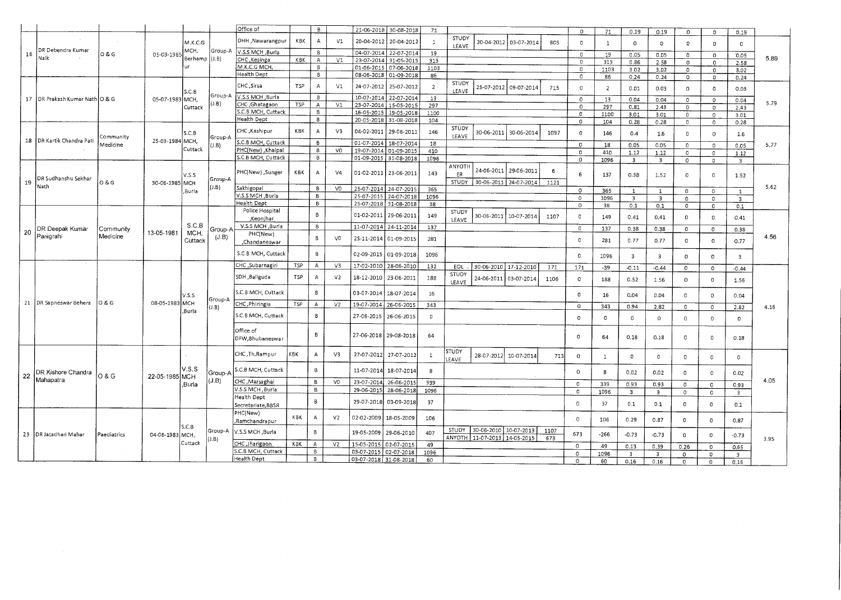|    |                             |                  |                 |         |             | Office of                              |            | $\overline{B}$ |                |                          | 21-06-2018 30-08-2018    | 71             |                     |                                                         |            |             | $\Omega$       | 71             | 0.19                    | 0.19                    | $\circ$        | $\Omega$     | 0.19                    |      |
|----|-----------------------------|------------------|-----------------|---------|-------------|----------------------------------------|------------|----------------|----------------|--------------------------|--------------------------|----------------|---------------------|---------------------------------------------------------|------------|-------------|----------------|----------------|-------------------------|-------------------------|----------------|--------------|-------------------------|------|
|    |                             |                  |                 | M.K.C.G |             | DHH , Nawarangpur                      | KBK        | A              | V1             | 20-04-2012               | 20-04-2012               | $\mathbf{1}$   | STUDY<br>LEAVE      | 20-04-2012 03-07-2014                                   |            | 805         | $\Omega$       | $\mathbf{1}$   | $\mathbf 0$             | 0                       | $\mathbf{0}$   | $\Omega$     | $\circ$                 |      |
| 16 | DR Debendra Kumar           | O & G            | 05-03-198       | ИСН,    | Group-A     | V.S.S MCH, Burla                       |            | B              |                | 04-07-2014               | 22-07-2014               | 19             |                     |                                                         |            |             | $\Omega$       | 19             | 0.05                    | 0.05                    | $\Omega$       | $\,0\,$      | 0.05                    |      |
|    | Naik                        |                  |                 | Berhamp | (J.B)       | CHC, Kesinga                           | KBK        | $\mathbb A$    | V1             | 23-07-2014               | 31-05-2015               | 313            |                     |                                                         |            |             | $\Omega$       | 313            | 0.86                    | 2.58                    | $\circ$        | $\mathbf{0}$ | 2.58                    | 5.89 |
|    |                             |                  |                 | υr      |             | M.K.C.G MCH                            |            | 8              |                | 01-06-2015               | 07-06-2018               | 1103           |                     |                                                         |            |             | $\circ$        | 1103           | 3.02                    | 3.02                    | $\Omega$       | $\mathbf 0$  | 3.02                    |      |
|    |                             |                  |                 |         |             | Health Dept                            |            | $\mathbf{B}$   |                |                          | 08-06-2018 01-09-2018    | 86             |                     |                                                         |            |             | $\mathbf 0$    | 86             | 0.24                    | 0.24                    | $\circ$        | $\circ$      | 0.24                    |      |
|    |                             |                  |                 | S.C.B   |             | CHC, Sirsa                             | <b>TSP</b> | $\overline{A}$ | V1             | 24-07-2012               | 25-07-2012               | $\overline{2}$ | STUDY<br>LEAVE      | 25-07-2012                                              | 09-07-2014 | 715         | $\circ$        | $\overline{2}$ | 0.01                    | 0.03                    | 0              | $\Omega$     | 0.03                    |      |
| 17 | DR Prakash Kumar Nath O & G |                  | 05-07-1983 MCH  |         | Group-A     | V.S.S MCH ,Burla                       |            | $\mathbf{B}$   |                |                          | 10-07-2014 22-07-2014    | 13             |                     |                                                         |            |             | $\mathbf{0}$   | 13             | 0.04                    | 0.04                    | $\mathbf{0}$   | $\Omega$     | 0.04                    |      |
|    |                             |                  |                 | Cuttack | $($ J.B $)$ | CHC , Ghatagaon                        | TSP        | $\mathsf{A}$   | V1             | 23-07-2014               | 15-05-2015               | 297            |                     |                                                         |            |             | $\overline{0}$ | 297            | 0.81                    | 2.43                    | $\circ$        | $\circ$      | 2.43                    | 5.79 |
|    |                             |                  |                 |         |             | S.C.B MCH, Cuttack                     |            | B              |                | 16-05-2015               | 19-05-2018               | 1100           |                     |                                                         |            |             | $\circ$        | 1100           | 3.01                    | 3.01                    | $\circ$        | $\Omega$     | 3.01                    |      |
|    |                             |                  |                 |         |             | Health Dept                            |            | 8              |                | 20-05-2018               | 31-08-2018               | 104            |                     |                                                         |            |             | $\circ$        | 104            | 0.28                    | 0.28                    | $\circ$        |              |                         |      |
|    |                             |                  |                 |         |             |                                        |            |                |                |                          |                          |                | STUDY               |                                                         |            |             |                |                |                         |                         |                | $\circ$      | 0.28                    |      |
|    | 18   DR Kartik Chandra Pati | Community        | 25-03-1984 MCH, | S.C.B   | Group-A     | CHC ,Kashipur<br>.C.B MCH, Cuttack     | K8K        | A<br>B         | V3             | 04-02-2011<br>01-07-2014 | 29-06-2011<br>18-07-2014 | 146            | LEAVE               | 30-06-2011                                              | 30-06-2014 | 1097        | $\circ$        | 146            | 0.4                     | 1.6                     | 0              | $\circ$      | 1.6                     |      |
|    |                             | Medicine         |                 | Cuttack | J.B)        | PHC(New) Khalpal                       |            | 8              | V <sub>0</sub> | 19-07-2014               | 01-09-2015               | 18             |                     |                                                         |            |             | $\circ$        | 18             | 0.05                    | 0.05                    | $\circ$        | $\Omega$     | 0.05                    | 5.77 |
|    |                             |                  |                 |         |             | S.C.B MCH, Cuttack                     |            | $\overline{8}$ |                |                          |                          | 410            |                     |                                                         |            |             | $\Omega$       | 410            | 1.12                    | 1.12                    | $\circ$        | $\Omega$     | 1.12                    |      |
|    |                             |                  |                 |         |             |                                        |            |                |                |                          | 01-09-2015 31-08-2018    | 1096           |                     |                                                         |            |             | $\circ$        | 1096           | $\overline{\mathbf{3}}$ | $\overline{\mathbf{3}}$ | $\circ$        | $\circ$      | $\overline{3}$          |      |
|    | DR Sudhanshu Sekhar         |                  |                 | V.S.S   | Group-A     | PHC(New), Sunger                       | <b>KBK</b> | А              | V <sub>4</sub> |                          | 01-02-2011   23-06-2011  | 143            | <b>ANYOTH</b><br>ER | 24-06-2011                                              | 29-06-2011 | 6           | 6              | 137            | 0.38                    | 1.52                    | 0              | $\circ$      | 1.52                    |      |
| 19 | Nath                        | <b>0 &amp; G</b> | 30-06-1985 MCH  |         | J.B)        | Sakhigopal                             |            | 8              |                |                          |                          |                | STUDY               | 30-06-2011 24-07-2014                                   |            | 1121        |                |                |                         |                         |                |              |                         | 5.62 |
|    |                             |                  |                 | ,Burla  |             |                                        |            |                | VO             | 25-07-2014               | 24-07-2015               | 365            |                     |                                                         |            |             | $\circ$        | 365            | $\mathbf{1}$            | 1                       | 0              | $\circ$      | $\mathbf{1}$            |      |
|    |                             |                  |                 |         |             | V.S.S MCH ,Burla                       |            | B              |                | 25-07-201                | 24-07-2018               | 1096           |                     |                                                         |            |             | $\Omega$       | 1096           | $\overline{\mathbf{3}}$ | $\overline{\mathbf{3}}$ | $\circ$        | $\circ$      | $\overline{\mathbf{3}}$ |      |
|    |                             |                  |                 |         |             | lealth Dept                            |            | B              |                |                          | 25-07-2018 31-08-2018    | 38             |                     |                                                         |            |             | $\circ$        | 38             | 0.1                     | 0.1                     | $\overline{0}$ | $\circ$      | 0.1                     |      |
|    |                             |                  |                 |         |             | Police Hospital<br>,Keonjhar           |            | B              |                | 01-02-2011               | 29-06-2011               | 149            | STUDY<br>LEAVE      | 30-06-2011 10-07-2014                                   |            | 1107        | $\circ$        | 149            | 0.41                    | 0.41                    | $\mathbb O$    | $\circ$      | 0.41                    |      |
|    | DR Deepak Kumar             | Community        |                 | S.C.B   | Group-A     | V.S.S MCH, Burla                       |            | B              |                |                          | 11-07-2014 24-11-2014    | 137            |                     |                                                         |            |             | $\circ$        | 137            | 0.38                    | 0.38                    | $\circ$        | $\mathbb O$  | 0.38                    |      |
| 20 | Panigrahi                   | Medicine         | 13-05-1981      | MCH.    | (J.B)       | PHC(New)                               |            | B              |                |                          |                          |                |                     |                                                         |            |             |                |                |                         |                         |                |              |                         | 4.56 |
|    |                             |                  |                 | Cuttack |             | Chandaneswar,                          |            |                | V <sub>0</sub> | 2S-11-2014               | 01-09-2015               | 281            |                     |                                                         |            |             | $\Omega$       | 281            | 0.77                    | 0.77                    | $\circ$        | $\mathbf{0}$ | 0.77                    |      |
|    |                             |                  |                 |         |             | S.C.B MCH, Cuttack<br>CHC, Subarnagiri |            | B              |                | 02-09-2015               | 01-09-2018               | 1096           |                     |                                                         |            |             | $\circ$        | 1096           | $\overline{\mathbf{3}}$ | $\overline{\mathbf{3}}$ | $\mathbf{0}$   | $\Omega$     | $\overline{\mathbf{3}}$ |      |
|    |                             |                  |                 |         |             |                                        | TSP        | A              | V3             | 17-02-2010               | 28-06-2010               | 132            | EOL                 | 30-06-2010 17-12-2010                                   |            | 171         | 171            | $-39$          | $-0.11$                 | $-0.44$                 | $\circ$        | $\Omega$     | $-0.44$                 |      |
|    |                             |                  |                 |         |             | SDH, Baliguda                          | TSP        | А              | V <sub>2</sub> | 18-12-2010               | 23-06-2011               | 188            | STUDY<br>LEAVE      | 24-06-2011                                              | 03-07-2014 | 1106        | $\circ$        | 188            | 0.52                    | 1.56                    | $\circ$        | $\Omega$     | 1.56                    |      |
|    |                             |                  |                 | V.S.S   | Group-A     | S.C.B MCH, Cuttack                     |            | B              |                | 03-07-2014               | 18-07-2014               | 16             |                     |                                                         |            |             | $\Omega$       | 16             | 0.04                    | 0.04                    | $\Omega$       | $\Omega$     | 0.04                    |      |
|    | 21 DR Sapneswar Behera      | <b>O&amp;G</b>   | 08-05-1983 MCH  |         | (1,B)       | CHC, Phiringia                         | TSP        | $\mathsf{A}$   | V <sub>2</sub> | 19-07-2014               | 26-06-2015               | 343            |                     |                                                         |            |             | $\circ$        | 343            | 0.94                    | 2.82                    | $\Omega$       | 0            | 2.82                    | 4.16 |
|    |                             |                  |                 | .Burla  |             | S.C.B MCH, Cuttack                     |            | $\mathsf B$    |                | 27-06-2015               | 26-06-2015               | $\mathbf 0$    |                     |                                                         |            |             | $^{\circ}$     | 0              | $\circ$                 | $\circ$                 | $\Omega$       | $^{\circ}$   | 0                       |      |
|    |                             |                  |                 |         |             | Office of<br>DFW, Bhubaneswar          |            | B              |                |                          | 27-06-2018   29-08-2018  | 64             |                     |                                                         |            |             | $\circ$        | 64             | 0.18                    | 0.18                    | $\Omega$       | $\Omega$     | 0.18                    |      |
|    |                             |                  |                 |         |             | CHC ,Th.Rampur                         | KBK        | А              | V3             | 27-07-2012               | 27-07-2012               | $\mathbf{1}$   | STUDY<br>LEAVE      | 28-07-2012                                              | 10-07-2014 | 713         | $\circ$        | $\mathbf{1}$   | $\Omega$                | 0                       | 0              | $\,$ 0       | $\mathbf 0$             |      |
| 22 | DR Kishore Chandra          | 0 & G            |                 | V.S.S   | Group-A     | S.C.B MCH, Cuttack                     |            | 8              |                | 11-07-2014               | 18-07-2014               | 8              |                     |                                                         |            |             | $\circ$        | 8              | 0.02                    | 0.02                    | $\Omega$       | $\mathbb O$  | 0.02                    |      |
|    | Mahapatra                   |                  | 22-05-1985 MCH  |         | J.B)        | CHC Marsaghai                          |            | <b>B</b>       | V <sub>0</sub> | 23-07-2014               | 26-06-2015               | 339            |                     |                                                         |            |             | $\circ$        | 339            |                         |                         |                |              |                         | 4.05 |
|    |                             |                  |                 | ,Burla  |             | V.5.S MCH, Burla                       |            | в              |                | 29-06-2019               | 28-06-2018               | 1096           |                     |                                                         |            |             |                |                | 0.93                    | 0.93                    | $\mathbf{0}$   | $\circ$      | 0.93                    |      |
|    |                             |                  |                 |         |             | Health Dept                            |            |                |                |                          |                          |                |                     |                                                         |            |             | $\circ$        | 1096           | 3                       | $\overline{\mathbf{3}}$ | $\circ$        | $\circ$      | $\overline{\mathbf{3}}$ |      |
|    |                             |                  |                 |         |             | Secretariate, BBSR                     |            | В              |                | 29-07-2018               | 03-09-2018               | 37             |                     |                                                         |            |             | $\Omega$       | 37             | 0.1                     | 0.1                     | 0              | $\circ$      | 0.1                     |      |
|    |                             |                  |                 |         |             | PHC(New)<br>,Ramchandrapur             | KBK        | А              | V <sub>2</sub> | 02-02-2009               | 18-05-2009               | 106            |                     |                                                         |            |             | $\circ$        | 106            | 0.29                    | 0.87                    | $\circ$        | $\circ$      | 0.87                    |      |
|    | 23   DR Jatadhari Mahar     | Paediatrics      | 04-06-1983 MCH, | S.C.B   | Group-A     | Burla Burla                            |            | B              |                | 19-05-2009               | 29-06-2010               | 407            | STUDY               | 30-06-2010 10-07-2013<br>ANYOTH 11-07-2013   14-05-2015 |            | 1107<br>673 | 673            | $-266$         | $-0.73$                 | $-0.73$                 | $\circ$        | $\Omega$     | $-0.73$                 |      |
|    |                             |                  |                 | Cuttack | (J.B)       | CHC, Jharigaon                         | KBK        | $\mathsf{A}$   | V <sub>2</sub> | 15-05-2015               | 02-07-2019               | 49             |                     |                                                         |            |             |                |                |                         |                         |                |              |                         | 3.95 |
|    |                             |                  |                 |         |             | S.C.B MCH, Cuttack                     |            | B              |                | 03-07-2015               | 02-07-2018               | 1096           |                     |                                                         |            |             | $\circ$        | 49             | 0.13                    | 0,39                    | 0.26           | $\circ$      | 0.65                    |      |
|    |                             |                  |                 |         |             | Health Dept                            |            | 8              |                |                          | 03-07-2018 31-08-2018    | 60             |                     |                                                         |            |             | $\Omega$       | 1096           | $\overline{3}$          | $\overline{3}$          | $\Omega$       | $\Omega$     | $\overline{\mathbf{3}}$ |      |
|    |                             |                  |                 |         |             |                                        |            |                |                |                          |                          |                |                     |                                                         |            |             | $\circ$        | 60             | 0.16                    | 0.16                    | $\Omega$       | $\Omega$     | 0.16                    |      |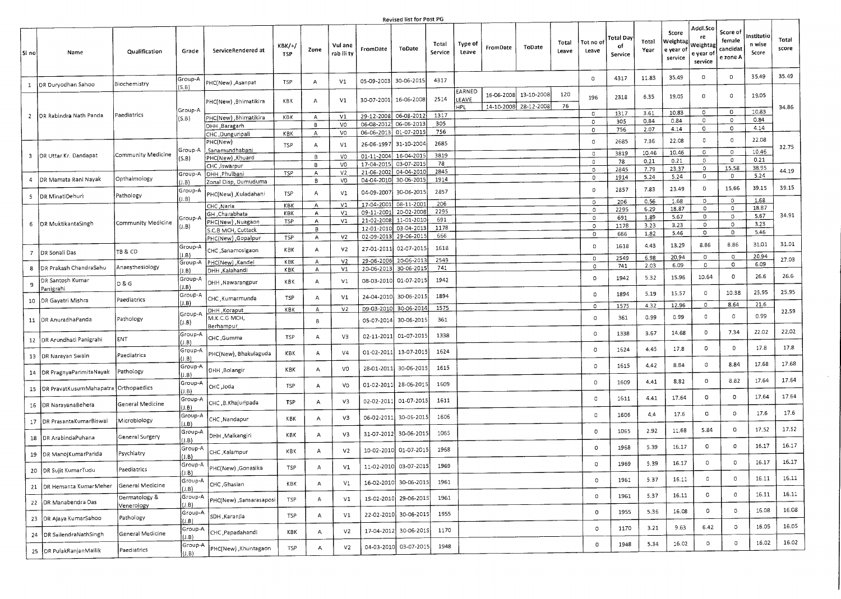## Revised list for Post PG

| .SI no       | Name                                                                 | Qualification               | Grade                       | ServiceRendered at                            | квк/+/<br>T5P     | Zone               | Vul ane<br>rab ili ty                  | FromDate                 | .<br>ToDate                         | Total<br>Service | Type of<br>Leave              | FromDate   | ToDate                              | Total<br>Leave | Tot no of<br>Leave     | Total Day<br>оf<br>Service | Total<br>Year        | Score<br>Weightag<br>e year of<br>service | Addl.Sco<br>re<br>Weighta<br>e year o<br>service | Score of<br>female<br>candidat<br>e zone A | institutio<br>n wise<br>Score | Total<br>score |
|--------------|----------------------------------------------------------------------|-----------------------------|-----------------------------|-----------------------------------------------|-------------------|--------------------|----------------------------------------|--------------------------|-------------------------------------|------------------|-------------------------------|------------|-------------------------------------|----------------|------------------------|----------------------------|----------------------|-------------------------------------------|--------------------------------------------------|--------------------------------------------|-------------------------------|----------------|
| $\mathbf{1}$ | DR Duryodhan Sahoo                                                   | Biochemistry                | Group-A                     | PHC(New), Asanpat                             | TSP               | A                  | V1                                     |                          | 05-09-2003 30-06-2015               | 4317             |                               |            |                                     |                | $\circ$                | 4317                       | 11.83                | 35.49                                     | 0                                                | $\circ$                                    | 35.49                         | 35.49          |
|              |                                                                      |                             | (S.B)<br>Group-A            | PHC(New), Bhimatikira                         | KBK               | А                  | V1                                     | 30-07-2001               | 16-06-2008                          | 2514             | EARNED<br>LEAVE<br><b>HPL</b> | 16-06-2008 | 13-10-2008<br>14-10-2008 28-12-2008 | 120<br>76      | 196                    | 2318                       | 6.35                 | 19.05                                     | 0                                                | $\circ$                                    | 19.05                         | 34.86          |
|              | 2   DR Rabindra Nath Panda                                           | Paediatrics                 | (S.B)                       | PHC(New), Bhimatikira<br>DHH , Baragarh       | KBK               | $\mathsf{A}$<br>в. | V1<br>V <sub>0</sub>                   | 29-12-200<br>06-08-201   | 06-08-2012<br>06-06-2013            | 1317<br>305      |                               |            |                                     |                | $\circ$<br>0           | 1317<br>305                | 3.61<br>0.84         | 10.83<br>0.84<br>4.14                     | $\circ$<br>$\circ$<br>0                          | $\circ$<br>$\circ$<br>$\circ$              | 10.83<br>0.84<br>4.14         |                |
|              |                                                                      |                             |                             | CHC, Dunguripali<br>PHC(New)                  | KBK<br><b>TSP</b> | $\mathsf{A}$<br>Α  | VO<br>V1                               | 26-06-199                | 06-06-2013 01-07-2015<br>31-10-2004 | 756<br>2685      |                               |            |                                     |                | 0<br>$\circ$           | 756<br>2685                | 2.07<br>7.36         | 22.08                                     | $\circ$                                          | $\circ$                                    | 22.08                         |                |
| 3            | DR Uttar Kr. Dandapat                                                | Community Medicine          | Group-A<br>(S.B)            | .Sanamundhab <u>ani</u><br>PHC(New), Khuard   |                   | B                  | VO                                     |                          | 01-11-2004 16-04-2015<br>03-07-2015 | 3819<br>78       |                               |            |                                     |                | $\circ$<br>$\circ$     | 3819<br>78                 | 10.46<br>0.21        | 10.46<br>0.21                             | 0<br>$\circ$                                     | $\circ$<br>$\circ$                         | 10.46<br>0.21                 | 32.75          |
| 4            | DR Mamata Rani Nayak                                                 | Opthalmology                | Group-A                     | CHC , Iswarpur<br>DHH , Phulbani              | <b>TSP</b>        | $\,$ B<br>А<br>В   | V <sub>0</sub><br>V <sub>2</sub><br>VO | 17-04-2015<br>21-06-2002 | 04-04-2010<br>04-04-2010 30-06-2015 | 2845<br>1914     |                               |            |                                     |                | O<br>0                 | 2845<br>1914               | 7.79<br>5.24         | 23.37<br>5.24                             | $\circ$<br>0                                     | 15.58<br>$\circ$                           | 38.95<br>5.24                 | 44.19          |
| -5           | DR MinatiDehuri                                                      | Pathology                   | (1.8)<br>Group-A            | Zonal Disp, Dumuduma<br>PHC(New) , Kuladahani | <b>TSP</b>        | $\overline{A}$     | V1                                     | 04-09-2007               | 30-06-2015                          | 2857             |                               |            |                                     |                | 0                      | 2857                       | 7.83                 | 23.49                                     | O                                                | 15.66                                      | 39.15                         | 39.15          |
|              |                                                                      |                             | J.B                         | CHC ,Naria<br>GH , Charabhata                 | KBK<br>KBK        | А<br>А             | V1<br>V1                               | 17-04-2001<br>09-11-2001 | 08-11-200<br>20-02-2008             | 206<br>2295      |                               |            |                                     |                | $\circ$<br>0           | 206<br>2295                | 0.56<br>6.29         | 1.68<br>18.87                             | $\circ$<br>$\circ$                               | $\circ$<br>$\circ$                         | 1.68<br>18.87<br>5.67         | 34.91          |
| 6            | DR MuktikantaSingh                                                   | Community Medicine          | Group-A<br>J.B)             | [PHC(New) , Nuagaon<br>S.C.B MCH, Cuttack     | TSP               | $\mathsf{A}$<br>В  | V1                                     | 12-01-2010               | 21-02-2008 11-01-2010<br>03-04-2013 | 691<br>1178      |                               |            |                                     |                | 0<br>$\circ$           | 691<br>1178                | 1.89<br>3.23<br>1.82 | 5.67<br>3.23<br>5.46                      | $\circ$<br>$\circ$<br>$\circ$                    | $\circ$<br>$\circ$<br>$\circ$              | 3.23<br>5.46                  |                |
|              |                                                                      |                             | Group-A                     | PHC(New), Gopalpur<br>CHC, Sanamosigaon       | TSP<br>KBK        | А<br>Α             | V2<br>V <sub>2</sub>                   | 27-01-201                | 02-09-2013 29-06-2015<br>02-07-2015 | 666<br>1618      |                               |            |                                     |                | 0<br>$\circ$           | 666<br>1618                | 4.43                 | 13.29                                     | 8.86                                             | 8.86                                       | 31.01                         | 31.01          |
|              | DR Sonali Das<br>DR Prakash ChandraSahu                              | TB & CD<br>Anaesthesiology  | J.B)<br>Group-A             | PHC(New), Kandel                              | KBK               | А                  | V <sub>2</sub>                         | 29-06-2006               | 20-06-201                           | 2549<br>741      |                               |            |                                     |                | $\circ$<br>$\circ$     | 2549<br>741                | 6.98<br>2.03         | 20.94<br>6.09                             | $\circ$<br>$\circ$                               | $\,0\,$<br>$\circ$                         | 20.94<br>6.09                 | 27.03          |
| 8<br>9       | DR Santosh Kumar                                                     | D & G                       | (J.B)<br>Group-A            | DHH ,Kalahandi<br>DHH , Nawarangpur           | KBK<br>KBK        | A<br>А             | V1<br>V1                               | 20-06-2013<br>08-03-2010 | 30-06-2015<br>01-07-201             | 1942             |                               |            |                                     |                | $\circ$                | 1942                       | 5.32                 | 15.96                                     | 10.64                                            | 0                                          | 26.6                          | 26.6           |
| 10           | Panigrahi<br>DR Gayatri Mishra                                       | Paediatrics                 | $($ J.B $)$<br>Group-A      | CHC , Kumarmunda                              | <b>TSP</b>        | А                  | V1                                     | 24-04-2010               | 30-06-2015                          | 1894             |                               |            |                                     |                | $\,0\,$                | 1894                       | 5.19                 | 15.57                                     | $\circ$                                          | 10.38                                      | 25.95                         | 25.95          |
|              | 11   DR AnuradhaPanda                                                | Pathology                   | $ J.B\rangle$<br>Group-A    | DHH , Koraput<br>M.K.C.G MCH,                 | KBK               | Α                  | V <sub>2</sub>                         | 09-03-2010               | 30-06-2014<br>30-06-2015            | 1575<br>361      |                               |            |                                     |                | $\circ$<br>$\circ$     | 1575<br>361                | 4.32<br>0.99         | 12.96<br>0.99                             | $\circ$<br>$\circ$                               | 8.64<br>0                                  | 21.6<br>0.99                  | 22.59          |
|              |                                                                      |                             | (J.B)<br>Group-A            | Berhampur                                     | <b>TSP</b>        | в<br>А             | V3                                     | 05-07-2014<br>02-11-2011 | 01-07-2015                          | 1338             |                               |            |                                     |                | $\circ$                | 1338                       | 3.67                 | 14.68                                     | 0                                                | 7.34                                       | 22.02                         | 22.02          |
|              | 12   DR Arundhati Panigrahi                                          | ENT                         | J.B<br>Group-A              | CHC, Gumma<br>PHC(New), Bhakulaguda           | KBK               | А                  | V <sub>4</sub>                         | 01-02-2011               | 13-07-2019                          | 1624             |                               |            |                                     |                | $\,$ 0                 | 1624                       | 4.45                 | 17.8                                      | 0                                                | $\overline{0}$                             | 17.8                          | 17.8           |
|              | 13 DR Narayan Swain                                                  | Paediatrics<br>Pathology    | I.B)<br>Group-A             | DHH ,Bolangir                                 | KBK               | A                  | V <sub>0</sub>                         | 28-01-2011               | 30-06-2015                          | 1615             |                               |            |                                     |                | $\circ$                | 1615                       | 4.42                 | 8.84                                      | 0                                                | 8.84                                       | 17.68                         | 17.68          |
| 15           | 14   DR PragnyaParimitaNayak<br>OR PravatKusumMahapatra Orthopaedics |                             | J.B)<br>Group-A             | CHC , Joda                                    | <b>TSP</b>        | A                  | VO                                     | 01-02-2011               | 28-06-2015                          | 1609             |                               |            |                                     |                | $\circ$                | 1609                       | 4.41                 | 8.82                                      | 0                                                | 8.82                                       | 17.64                         | 17.64          |
| 16           | DR NarayanaBehera                                                    | General Medicine            | (1.B)<br>Group-A<br>J.B)    | CHC, B. Khajuripada                           | TSP               | A                  | V3                                     | 02-02-2011               | 01-07-2015                          | 1611             |                               |            |                                     |                | $\circ$                | 1611                       | 4.41                 | 17.64                                     | 0                                                | $\circ$                                    | 17.64                         | 17.64          |
| 17           | DR PrasantaKumarBiswal                                               | Microbiology                | Group-A<br>J.B              | CHC, Nandapur                                 | KBK.              | Α                  | V3                                     | 06-02-2011               | 30-06-2015                          | 1606             |                               |            |                                     |                | $\circ$                | 1606                       | 4,4                  | 17.6                                      | 0                                                | $\circ$                                    | 17.6                          | 17.6           |
| 18           | <b>IDR ArabindaPuhana</b>                                            | General Surgery             | Group-A<br>(I.B)            | DHH ,Malkangiri                               | KBK               | $\overline{A}$     | V3                                     | 31-07-2012               | 30-06-201                           | 1065             |                               |            |                                     |                | 0                      | 1065                       | 2.92                 | 11.68                                     | 5.84                                             | $\circ$                                    | 17.52                         | 17.52          |
|              | 19 DR ManojKumarParida                                               | Psychiatry                  | Group-A<br>I.B)             | CHC, Kalampur                                 | KBK               | А                  | V <sub>2</sub>                         | 10-02-2010               | 01-07-201                           | 1968             |                               |            |                                     |                | 0                      | 1968                       | 5.39                 | 16.17                                     | 0                                                | 0                                          | 16.17                         | 16.17          |
| 20           | <b>DR Sujit KumarTudu</b>                                            | Paediatrics                 | Group-A<br>J.B              | PHC(New), Gonasika                            | TSP               | A                  | V1                                     | 11-02-2010               | 03-07-2015                          | 1969             |                               |            |                                     |                | 0                      | 1969                       | 5.39                 | 16.17                                     | 0                                                | $\Omega$                                   | 16.17                         | 16.17<br>16.11 |
| 21           | DR Hemanta KumarMeher                                                | General Medicine            | Group-A<br>J.B              | CHC, Ghasian                                  | KBK               | Α                  | V1                                     |                          | 16-02-2010 30-06-2015               | 1961             |                               |            |                                     |                | $\circ$                | 1961                       | 5.37                 | 16.11<br>16.11                            | $\circ$<br>$\circ$                               | $\circ$<br>0                               | 16.11<br>16.11                | 16.11          |
| 22           | DR Manabendra Das                                                    | Dermatology &<br>Venerology | Group-A<br>(1.B)<br>Group-A | PHC(New) , Sansarasaposi                      | TSP               | А                  | V1                                     | 1S-02-2010               | 29-06-201S                          | 1961             |                               |            |                                     |                | $\circ$<br>$\mathbf 0$ | 1961<br>1955               | 5.37<br>5.36         | 16.08                                     | $\circ$                                          | 0                                          | 16.08                         | 16.08          |
| 23           | DR Ajaya KumarSahoo                                                  | Pathology                   | (J.B)<br>Group-A            | SDH , Karanjia                                | <b>TSP</b>        | A                  | V1                                     | 22-02-2010               | 30-06-2015                          | 1955             |                               |            |                                     |                | $\circ$                | 1170                       | 3.21                 | 9.63                                      | 6.42                                             | $\circ$                                    | 16.05                         | 16.05          |
|              | OR SailendraNathSingh<br>24                                          | General Medicine            | J.B<br>Group-A              | CHC ,Papadahandi                              | KBK               | Α                  | V <sub>2</sub>                         | 17-04-2012               | 30-06-201S<br>04-03-2010 03-07-2015 | 1170<br>1948     |                               |            |                                     |                | 0                      | 1948                       | 5.34                 | 16.02                                     | 0                                                | $\circ$                                    | 16.02                         | 16.02          |
|              | 25 DR PulakRanjanMailik                                              | Paediatrics                 | $ J.B\rangle$               | PHC(New), Khuntagaon                          | TSP               | Α                  | V2                                     |                          |                                     |                  |                               |            |                                     |                |                        |                            |                      |                                           |                                                  |                                            |                               |                |

 $\sim$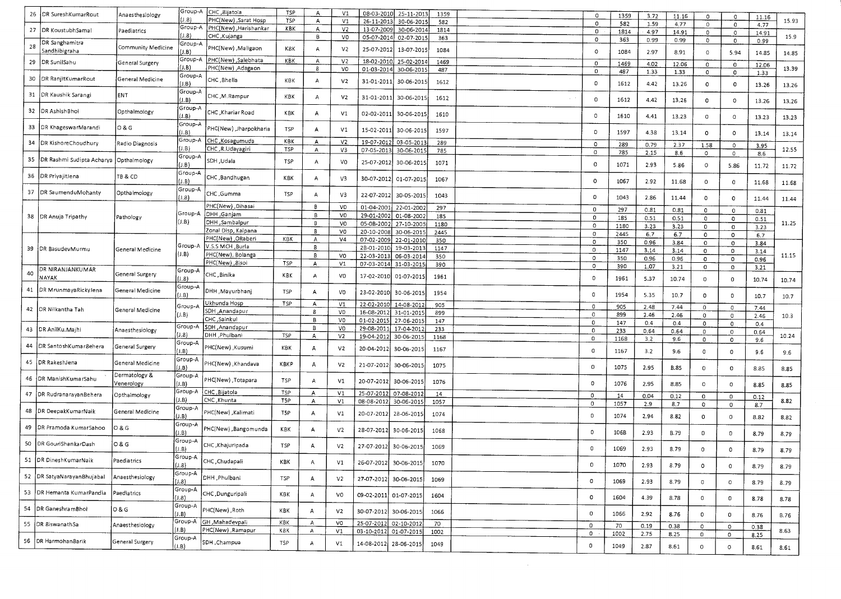|    |                                           |                    | Group-A | CHC , 8ijatola         | <b>TSP</b> | A              | V1             | 08-03-2010 | 25-11-2013            |      |              |      |      |             |              |             |       |       |
|----|-------------------------------------------|--------------------|---------|------------------------|------------|----------------|----------------|------------|-----------------------|------|--------------|------|------|-------------|--------------|-------------|-------|-------|
| 26 | DR SureshKumarRout                        | Anaesthesiology    | (1.8)   | PHC(New), Sarat Hosp   | <b>TSP</b> |                |                |            |                       | 1359 | $\circ$      | 1359 | 3.72 | 11.16       | 0            | $\mathbf 0$ | 11.16 |       |
|    |                                           |                    |         |                        |            | A              | V1             | 26-11-201  | 30-06-2015            | 582  | $\mathbf{0}$ | 582  | 1.59 | 4.77        | $\circ$      | 0           | 4.77  | 15.93 |
| 27 | DR KoustubhSamal                          | Paediatrics        | Group-A | PHC(New) , Harishankar | KBK        | A              | V <sub>2</sub> | 13-07-2009 | 30-06-2014            | 1814 | $\circ$      | 1814 | 4.97 | 14.91       | $\,$ O       | $\circ$     | 14.91 |       |
|    |                                           |                    | J.8)    | CHC , Kujanga          |            | В              | VO             | 05-07-2014 | 02-07-2015            | 363  | 0            | 363  | 0.99 | 0.99        | $\circ$      | $\circ$     | 0.99  | 15.9  |
| 28 | DR Sanghamitra                            |                    | Group-A |                        |            |                |                |            |                       |      |              |      |      |             |              |             |       |       |
|    | Sandhibigraha                             | Community Medicine | J.B)    | PHC(New), Maligaon     | K8K        | $\overline{A}$ | V2             | 25-07-2012 | 13-07-2015            | 1084 | o            | 1084 | 2.97 | 8.91        | $\circ$      | 5.94        | 14.85 | 14.85 |
|    |                                           |                    | Group-A | Salebhata (PHC(New)    | KBK        |                |                |            |                       |      |              |      |      |             |              |             |       |       |
| 29 | DR SunilSahu                              | General Surgery    |         |                        |            | A              | V <sub>2</sub> | 18-02-2010 | 25-02-2014            | 1469 | 0            | 1469 | 4.02 | 12.06       | $\bf{0}$     | $\circ$     | 12.06 |       |
|    |                                           |                    | (J.B)   | PHC(New) , Adaga on    |            | 8              | VO             | 01-03-2014 | 30-06-2015            | 487  | $\circ$      | 487  | 1.33 | 1.33        | $\circ$      | $\bf{0}$    | 1.33  | 13.39 |
| 30 | DR RanjitKumarRout                        | General Medicine   | Group-A | CHC, Bhella            |            |                |                |            |                       |      |              |      |      |             |              |             |       |       |
|    |                                           |                    | (J.B)   |                        | KBK        | А              | V <sub>2</sub> | 31-01-2011 | 30-06-2015            | 1612 | 0            | 1612 | 4.42 | 13.26       | $\mathbf 0$  | $\circ$     | 13.26 | 13.26 |
|    |                                           |                    | Group-A |                        |            |                |                |            |                       |      |              |      |      |             |              |             |       |       |
| 31 | DR Kaushik Sarangi                        | <b>ENT</b>         |         | CHC, M.Rampur          | KBK        | А              | V <sub>2</sub> | 31-01-2011 | 30-06-2015            | 1612 |              |      |      |             |              |             |       |       |
|    |                                           |                    | (J.B)   |                        |            |                |                |            |                       |      | $\circ$      | 1612 | 4.42 | 13.26       | 0            | $\circ$     | 13.26 | 13.26 |
|    | 32 IDR Ashish Bhoi                        |                    | Group-A |                        |            |                |                |            |                       |      |              |      |      |             |              |             |       |       |
|    |                                           | Opthalmology       | J.B)    | CHC, Khariar Road      | KBK        | А              | V1             | 02-02-2011 | 30-06-2015            | 1610 | 0.           | 1610 | 4.41 | 13.23       | $\circ$      | $\circ$     | 13.23 | 13.23 |
|    |                                           |                    | Group-A |                        |            |                |                |            |                       |      |              |      |      |             |              |             |       |       |
| 33 | DR KhageswarMarandi                       | 0 & G              |         | PHC(New) ,Jharpokharia | <b>TSP</b> | A              | V1             | 15-02-2011 | 30-06-2015            | 1597 |              |      |      |             |              |             |       |       |
|    |                                           |                    | (L, B)  |                        |            |                |                |            |                       |      | 0            | 1597 | 4.38 | 13.14       | $\mathbf 0$  | $\mathbf 0$ | 13.14 | 13.14 |
| 34 | DR KishoreChoudhury                       | Radio Diagnosis    | Group-A | CHC, Kosagumuda        | KBK        | A              | V <sub>2</sub> | 19-07-2012 | 03-05-2013            | 289  | $\Omega$     |      |      |             |              |             |       |       |
|    |                                           |                    | J.B     | CHC, R.Udayagiri       | <b>TSP</b> | $\mathsf A$    | V3             | 07-05-2013 | 30-06-2015            | 785  |              | 289  | 0.79 | 2.37        | 1.58         | $\circ$     | 3.95  | 12.55 |
|    |                                           |                    | Group-A |                        |            |                |                |            |                       |      | $\mathbf 0$  | 785  | 2.15 | 8.6         | $\Omega$     | $\circ$     | 8.6   |       |
| 35 | IDR Rashmi Sudipta Acharya   Opthalmology |                    |         | SDH, Udala             | TSP        | А              | VO             | 25-07-2012 | 30-06-2015            | 1071 | $\mathbf 0$  |      |      |             |              |             |       |       |
|    |                                           |                    | J.B     |                        |            |                |                |            |                       |      |              | 1071 | 2.93 | 5.86        | $\circ$      | 5.86        | 11.72 | 11.72 |
| 36 | DR PriyajitJena                           | TB & CD            | Group-A |                        |            |                |                |            |                       |      |              |      |      |             |              |             |       |       |
|    |                                           |                    | J.B)    | CHC , Bandhugan        | KBK        | А              | V3             | 30-07-2012 | 01-07-2015            | 1067 | 0            | 1067 | 2.92 | 11.68       | 0            | $\circ$     | 11.68 | 11.68 |
|    |                                           |                    |         |                        |            |                |                |            |                       |      |              |      |      |             |              |             |       |       |
| 37 | DR SaumenduMohanty                        | Opthalmology       | Group-A | CHC,Gumma              | TSP        | $\mathsf{A}$   | V3             | 22-07-2012 | 30-05-2015            | 1043 |              |      |      |             |              |             |       |       |
|    |                                           |                    | J.8     |                        |            |                |                |            |                       |      | $\mathbf{0}$ | 1043 | 2.86 | 11.44       | $\mathbf 0$  | $\circ$     | 11.44 | 11.44 |
|    |                                           |                    |         | PHC(New), Oihasai      |            | в              | VO             | 01-04-2001 | 22-01-2002            | 297  |              |      |      |             |              |             |       |       |
|    |                                           |                    | Group-A | DHH ,Ganjam            |            | $\,$ B         |                |            |                       |      | $\mathbf 0$  | 297  | 0.81 | 0.81        | 0            | $\mathbf 0$ | 0.81  |       |
|    | 38   DR Anuja Tripathy                    | Pathology          |         |                        |            |                | VO             | 29-01-2002 | 01-08-2002            | 185  | 0            | 185  | 0.51 | 0.51        | 0            | $\mathbf 0$ | 0.51  |       |
|    |                                           |                    | (J.B)   | DHH, Sambalpur         |            | $\overline{B}$ | V <sub>0</sub> | 05-0B-2002 | 27-10-2005            | 1180 | $\circ$      | 1180 | 3.23 | 3.23        | 0            | $\circ$     | 3.23  | 11.25 |
|    |                                           |                    |         | Zonal Disp, Kalpana    |            | B              | V <sub>0</sub> | 20-10-2008 | 30-06-2015            | 2445 | 0            | 2445 | 6.7  | 6.7         |              |             |       |       |
|    |                                           |                    |         | PHC(New), ORaberi      | KBK        | Α              | V <sub>4</sub> | 07-02-2009 | 22-01-2010            | 350  |              |      |      |             | 0            | $\mathbf 0$ | 6.7   |       |
|    |                                           |                    | Group-A | V.S.S MCH, Burla       |            | $\, {\bf B}$   |                |            |                       |      | 0            | 350  | 0.96 | 3.84        | 0            | $\mathbf 0$ | 3.84  |       |
|    | 39 DR BasudevMurmu                        | General Medicine   |         |                        |            |                |                | 2B-01-2010 | 19-03-2013            | 1147 | $\mathbf{0}$ | 1147 | 3.14 | 3.14        | $\mathbf 0$  | $\mathbf 0$ | 3.14  |       |
|    |                                           |                    | (J.B)   | PHC(New), Bolanga      |            | В              | VO             | 22-03-2013 | 06-03-2014            | 350  | $\mathbf 0$  | 350  | 0.96 | 0.96        | $\mathbf 0$  | $\mathbf 0$ | 0.96  | 11.15 |
|    |                                           |                    |         | PHC(New), 8isoi        | TSP        | A              | V1             | 07-03-2014 | 31-03-2015            | 390  | $\mathbf{0}$ | 390  |      |             |              |             |       |       |
|    | DR NIRANJANKUMAR                          |                    | Group-A |                        |            |                |                |            |                       |      |              |      | 1.07 | 3.21        | $\circ$      | 0           | 3.21  |       |
| 40 | NAYAK                                     | General Surgerv    | (8.1)   | CHC, Binika            | KBK        | Α              | VO             | 17-02-2010 | 01-07-2015            | 1961 | 0            | 1961 | 5.37 | 10.74       | $\circ$      |             |       |       |
|    |                                           |                    |         |                        |            |                |                |            |                       |      |              |      |      |             |              | $\mathbf 0$ | 10.74 | 10.74 |
| 41 | DR MrunmavaRickyJena                      | General Medicine   | Group-A | DHH , Mayurbhanj       | <b>TSP</b> | А              | VO             |            |                       |      |              |      |      |             |              |             |       |       |
|    |                                           |                    | (I.B)   |                        |            |                |                | 23-02-2010 | 30-06-2015            | 1954 | 0            | 1954 | 5.35 | 10.7        | $\circ$      | 0           | 10.7  | 10.7  |
|    |                                           |                    |         | Ukhunda Hosp           | TSP        | A              | V <sub>1</sub> | 22-02-2010 | 14-08-2012            | 905  |              |      |      |             |              |             |       |       |
|    | 42 DR Nilkantha Tah                       | General Medicine   | Group-A | SDH, Anandapur         |            |                |                |            |                       |      | $\Omega$     | 905  | 2.48 | 7.44        | $\circ$      | $\circ$     | 7.44  |       |
|    |                                           |                    | (J.B)   |                        |            | 8              | VO             | 16-08-2012 | 31-01-2015            | 899  | $\circ$      | 899  | 2.46 | 2.46        | $\circ$      | $\mathbf 0$ | 2.46  | 10.3  |
|    |                                           |                    |         | CHC, Sainkul           |            | В              | VO             | 01-02-2015 | 27-06-2015            | 147  | 0            | 147  | 0.4  | 0.4         | $\circ$      | 0           | 0.4   |       |
|    | 43   DR AnilKu, Majhi                     | Anaesthesiology    | Group-A | SDH, Anandapur         |            | B              | V <sub>0</sub> | 29-08-201  | 17-04-2012            | 233  | 0            | 233  |      |             |              |             |       |       |
|    |                                           |                    | (1.8)   | DHH ,Phulbani          | <b>TSP</b> | A              | V <sub>2</sub> | 19-04-201  | 30-06-2019            | 1168 |              |      | 0.64 | 0.64        | 0            | 0           | 0.64  | 10.24 |
|    |                                           |                    | Group-A |                        |            |                |                |            |                       |      | $\circ$      | 1168 | 3.2  | 9,6         | $\circ$      | $\mathbf 0$ | 9.6   |       |
|    | 44   DR SantoshKumar8ehera                | General Surgery    |         | PHC(New) ,Kusumi       | KBK        | А              | V <sub>2</sub> | 20-04-201  | 30-06-201             | 1167 |              |      |      |             |              |             |       |       |
|    |                                           |                    | J.B)    |                        |            |                |                |            |                       |      | 0            | 1167 | 3.2  | 9.6         | 0            | 0           | 9.6   | 9.6   |
| 45 | DR RakeshJena                             |                    | Group-A |                        |            |                |                |            |                       |      |              |      |      |             |              |             |       |       |
|    |                                           | General Medicine   | (J.B)   | PHC(New),Khandava      | KBKP       | А              | V <sub>2</sub> | 21-07-2012 | 30-06-2015            | 1075 | $\Omega$     | 1075 | 2.95 | <b>B.85</b> | $\mathbf{0}$ | 0           | 8.85  | 8.85  |
|    |                                           | Dermatology &      | Group-A |                        |            |                |                |            |                       |      |              |      |      |             |              |             |       |       |
| 46 | DR ManishKumarSahu                        |                    |         | PHC(New), Totapara     | TSP        | А              | V1             | 20-07-2012 | 30-06-2015            | 1076 |              |      |      |             |              |             |       |       |
|    |                                           | Venerology         | J.B)    |                        |            |                |                |            |                       |      | $\Omega$     | 1076 | 2.95 | 8.85        | $\circ$      | $\circ$     | 8.85  | 8.85  |
|    | 47   DR Rudranarayan Behera               | Opthalmology       | Group-A | CHC, Bijatola          | TSP        | A              | V <sub>1</sub> | 25-07-201  | 07-08-2012            | 14   | 0            | 14   |      |             |              |             |       |       |
|    |                                           |                    | (J.B)   | CHC, Khunta            | T5P        | A              | V1             | 08-08-2012 | 30-06-2015            | 1057 |              |      | 0.04 | 0.12        | $\circ$      | $\circ$     | 0.12  | 8.82  |
|    |                                           |                    | Group-A |                        |            |                |                |            |                       |      | $\,$ O       | 1057 | 2.9  | 8.7         | 0            | $\circ$     | 8.7   |       |
| 48 | DR DeepakKumarNaik                        | General Medicine   |         | PHC(New) , Kalimati    | T5P        | А              | V <sub>1</sub> | 20-07-2012 | 28-06-2015            | 1074 |              |      |      |             |              |             |       |       |
|    |                                           |                    | (J.B)   |                        |            |                |                |            |                       |      | $\Omega$     | 1074 | 2.94 | 8.82        | $\mathbf 0$  | 0           | 8.82  | 8.82  |
| 49 |                                           |                    | Group-A |                        |            |                |                |            |                       |      |              |      |      |             |              |             |       |       |
|    | DR Pramoda KumarSahoo                     | O & G              | (J.B)   | PHC(New), Bangomunda   | KBK        | A              | V <sub>2</sub> | 28-07-201  | 30-06-2015            | 1068 | $\Omega$     | 106B | 2.93 | <b>B.79</b> | 0            | 0           | 8.79  |       |
|    |                                           |                    |         |                        |            |                |                |            |                       |      |              |      |      |             |              |             |       | 8.79  |
|    | 50   DR GouriShankarDash                  | O & G              | Group-A | CHC ,Khajuripada       | TSP        | А              | V <sub>2</sub> | 27-07-2012 | 30-06-2015            | 1069 |              |      |      |             |              |             |       |       |
|    |                                           |                    | J.B     |                        |            |                |                |            |                       |      | $\circ$      | 1069 | 2.93 | 8.79        | 0            | $\mathbf 0$ | 8.79  | 8.79  |
|    |                                           |                    | Group-A |                        |            |                |                |            |                       |      |              |      |      |             |              |             |       |       |
|    | 51 DR DineshKumarNaik                     | Paediatrics        | (L.8)   | CHC, Chudapali         | KBK        |                | V1             |            | 26-07-2012 30-06-2015 | 1070 | 0            | 1070 | 2.93 | 8.79        |              |             |       |       |
|    |                                           |                    |         |                        |            |                |                |            |                       |      |              |      |      |             | $\circ$      | 0           | 8.79  | 8.79  |
|    | 52 DR SatyaNarayanBhujabal                | Anaesthesiology    | Group-A | DHH , Phulbani         | <b>TSP</b> |                |                |            |                       |      |              |      |      |             |              |             |       |       |
|    |                                           |                    | (1.8)   |                        |            | А              | V <sub>2</sub> |            | 27-07-2012 30-06-2015 | 1069 | 0            | 1069 | 2.93 | 8.79        | $\circ$      | $\circ$     | 8.79  | 8.79  |
|    |                                           |                    | Group-A |                        |            |                |                |            |                       |      |              |      |      |             |              |             |       |       |
|    | 53 DR Hemanta KumarPandia                 | Paediatrics        | (3.8)   | CHC, Dunguripali       | KBK        | A              | VO             |            | 09-02-2011 01-07-2015 | 1604 | 0            | 1604 |      |             |              |             |       |       |
|    |                                           |                    |         |                        |            |                |                |            |                       |      |              |      | 4.39 | 8.78        | $\circ$      | 0           | 8.78  | 8.78  |
|    | 54   DR GaneshramBhoi                     | O & G              | Group-A | PHC(New), Roth         |            |                |                |            |                       |      |              |      |      |             |              |             |       |       |
|    |                                           |                    | J.B     |                        | KBK        | A              | V2             |            | 30-07-2012 30-06-2015 | 1066 | 0            | 1066 | 2.92 | 8.76        | 0            | 0           | 8.76  | B.76  |
|    | 55 DR 8iswanathSa                         |                    | Group-A | GH , Mahadevpali       | KBK        | A              | VO             |            | 25-07-2012 02-10-2012 | 70   |              |      |      |             |              |             |       |       |
|    |                                           | Anaesthesiology    | (J.B)   | PHC(New) , Ramapur     | K8K        |                |                |            |                       |      | 0            | 70   | 0.19 | 0.38        | $\circ$      | 0           | 0.38  |       |
|    |                                           |                    |         |                        |            | A              | V1             |            | 03-10-2012 01-07-2015 | 1002 | 0            | 1002 | 2.75 | 8.25        | $\circ$      | 0           | 8.25  | 8.63  |
|    | 56 DR HarmohanBarik                       | General Surgery    | Group-A | SDH, Champua           | TSP        | А              |                |            |                       |      |              |      |      |             |              |             |       |       |
|    |                                           |                    | (J.B)   |                        |            |                | V1             |            | 14-08-2012 28-06-2015 | 1049 | 0            | 1049 | 2.87 | 8.61        | $\circ$      | 0           | 8.61  | 8.61  |
|    |                                           |                    |         |                        |            |                |                |            |                       |      |              |      |      |             |              |             |       |       |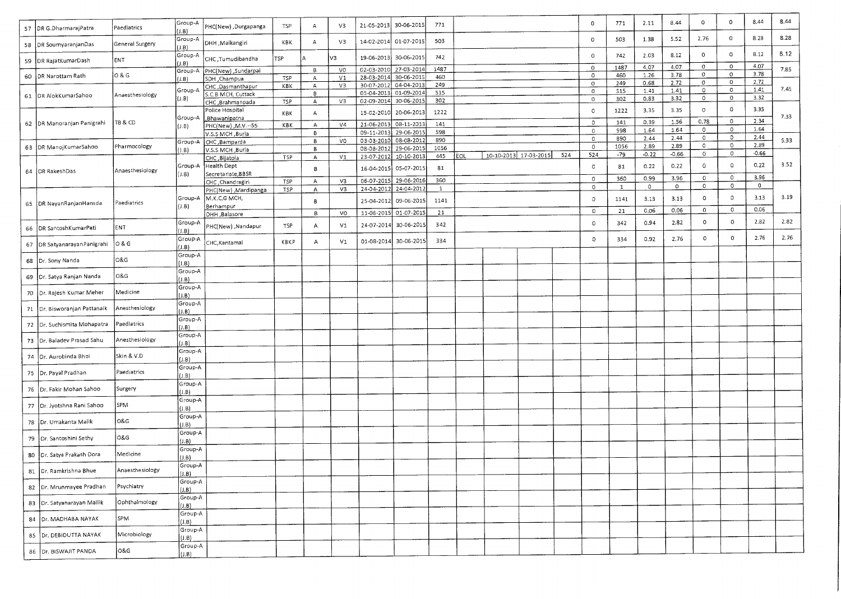|    |                                |                 | Group-A          |                                    |      |   |                |                          |                          |              |     |                       |     | $\mathbf 0$        | 771          | 2.11         | 8.44         | $\circ$            | $\circ$      | 8.44            | 8.44 |
|----|--------------------------------|-----------------|------------------|------------------------------------|------|---|----------------|--------------------------|--------------------------|--------------|-----|-----------------------|-----|--------------------|--------------|--------------|--------------|--------------------|--------------|-----------------|------|
| 57 | DR G.DharmarajPatra            | Paediatrics     | (1.B)            | PHC(New), Durgapanga               | TSP  | А | V3             | 21-05-2013               | 30-06-2015               | 771          |     |                       |     |                    |              |              |              |                    |              |                 | 8.28 |
|    | 58 DR SoumyaranjanDas          | General Surgery | Group-A<br>(1.8) | DHH, Malkangiri                    | KBK  | А | V3             | 14-02-2014               | 01-07-2015               | 503          |     |                       |     | $\circ$            | 503          | 1.38         | 5.52         | 2.76               | $\circ$      | 8.28            |      |
|    | 59 DR RajatKumarDash           | ENT             | Group-A<br>I.B)  | CHC, Tumudibandha                  | TSP  |   | V3             | 19-06-2013               | 30-06-201                | 742          |     |                       |     | $\circ$            | 742          | 2.03         | 8.12         | $\circ$            | O<br>$\circ$ | 8.12<br>4.07    | 8.12 |
|    | 60 DR Narottam Rath            | 0 & G           | Group-A          | PHC(New) , Sundarpai               |      | В | V <sub>0</sub> | 02-03-2010               | 27-03-2014               | 1487         |     |                       |     | $\circ$<br>$\circ$ | 1487<br>460  | 4.07<br>1.26 | 4.07<br>3.78 | $\circ$<br>$\circ$ | $\circ$      | 3.78            | 7.85 |
|    |                                |                 | (1, B)           | SDH, Champua                       | TSP  | A | V <sub>1</sub> | 28-03-2014               | 30-06-2015               | 460<br>249   |     |                       |     | $\circ$            | 249          | 0.68         | 2.72         | $\circ$            | $\circ$      | 2.72            |      |
|    |                                |                 | Group-A          | CHC, Dasmanthapur                  | KBK  | А | V3             | 30-07-2012               | 04-04-2013<br>01-09-2014 | 515          |     |                       |     | $\circ$            | 515          | 1.41         | 1.41         | $\sigma$           | $\circ$      | 1.41            | 7.45 |
|    | 61   DR AlokKumarSahoo         | Anaesthesiology | (1.8)            | S.C.B MCH, Cuttack                 |      | в |                | 05-04-2013<br>02-09-2014 | 30-06-2015               | 302          |     |                       |     | 0                  | 302          | 0.83         | 3.32         | 0                  | $\circ$      | 3.32            |      |
|    |                                |                 |                  | CHC, Brahmanpada                   | TSP  | A | V3             |                          |                          |              |     |                       |     |                    |              |              |              | 0                  | $\circ$      | 3.35            |      |
|    |                                |                 |                  | Police Hospital                    | KBK  | А |                | 15-02-201                | 20-06-2013               | 1222         |     |                       |     | $\circ$            | 1222         | 3.35         | 3.35         |                    |              |                 | 7.33 |
|    | 62 DR Manoranjan Panigrahi     | T8 & CD         | Group-A          | Bhawanipatna<br>PHC(New), M.V.--55 | КВК  | А | V4             | 21-06-2013               | 08-11-2013               | 141          |     |                       |     | $\circ$            | 141          | 0.39         | 1.56         | 0.78               | $\circ$      | 2.34            |      |
|    |                                |                 | (J.B)            | V.S.S MCH ,Burla                   |      | В |                | 09-11-2013               | 29-06-2015               | 598          |     |                       |     | $\circ$            | 598          | 1.64         | 1.64         | $\circ$            | $\circ$      | 1.64            |      |
|    |                                |                 | Group-A          | CHC, Bamparda                      |      | В | V <sub>0</sub> | 03-03-2010               | 08-08-2012               | 890          |     |                       |     | $\circ$            | 890          | 2.44         | 2.44         | $\circ$            | $\circ$      | 2.44            | 5.33 |
|    | 63   DR ManojKumarSahoo        | Pharmocology    | (1.8)            | V.S.S MCH ,Burla                   |      | В |                | 08-08-2012               | 29-06-2015               | 1056         |     |                       |     | $\circ$            | 1056         | 2.89         | 2.89         | $\circ$            | $\circ$      | 2.89            |      |
|    |                                |                 |                  | CHC, Bijatola                      | TSP  | А | V <sub>1</sub> | 23-07-2012               | 10-10-2013               | 445          | EOL | 10-10-2013 17-03-2015 | 524 | 524                | $-79$        | $-0.22$      | $-0.66$      | $\circ$            | $\circ$      | $-0.66$         |      |
|    |                                |                 | Group-A          | Health Dept                        |      |   |                | 16-04-2015               | 05-07-2015               | 81           |     |                       |     | 0                  | 81           | 0.22         | 0.22         | $\circ$            | $\circ$      | 0.22            | 3.52 |
|    | 64 OR RakeshDas                | Anaesthesiology | J.B              | Secretariate, BBSR                 |      | 8 |                |                          |                          |              |     |                       |     |                    |              |              |              |                    |              |                 |      |
|    |                                |                 |                  | CHC , Chandragiri                  | TSP  | A | V3             | 06-07-2015               | 29-06-2016               | 360          |     |                       |     | $\circ$            | 360          | 0.99         | 3.96         | $\circ$            | $\bullet$    | 3.96<br>$\circ$ |      |
|    |                                |                 |                  | PHC(New) ,Mardipanga               | TSP  | A | V3             | 24-04-2012               | 24-04-201                | $\mathbf{1}$ |     |                       |     | 0                  | $\mathbf{1}$ | $\circ$      | $\circ$      | $\circ$            | $\circ$      |                 |      |
|    |                                |                 | Group-A          | M.K.C.G MCH,                       |      | В |                | 25-04-2012               | 09-06-2015               | 1141         |     |                       |     | 0                  | 1141         | 3.13         | 3.13         | $\circ$            | $\circ$      | 3.13            | 3.19 |
|    | 65   DR NayanRanjanHansda      | Paediatrics     | (J.B)            | Berhampur                          |      |   |                |                          |                          |              |     |                       |     |                    |              |              |              | $\mathbf{0}$       | $\circ$      | 0.06            |      |
|    |                                |                 |                  | DHH ,Balasore                      |      | В | V <sub>0</sub> | 11-06-2015               | 01-07-201                | 21           |     |                       |     | $\circ$            | 21           | 0.06         | 0.06         |                    |              |                 |      |
| 66 | DR SantoshKumarPati            | ENT             | Group-A<br>J.B   | PHC(New) ,Nandapur                 | TSP  | Α | V1             | 24-07-2014               | 30-06-2015               | 342          |     |                       |     | $\circ$            | 342          | 0.94         | 2.82         | $\circ$            | 0            | 2.82            | 2.82 |
|    |                                | O & G           | Group-A          | CHC, Kantamal                      | KBKP | Α | V <sub>1</sub> | 01-08-2014               | 30-06-2015               | 334          |     |                       |     | $\circ$            | 334          | 0.92         | 2.76         | $\circ$            | 0            | 2.76            | 2.76 |
| 67 | DR SatyanarayanPanigrahi       |                 | J.B              |                                    |      |   |                |                          |                          |              |     |                       |     |                    |              |              |              |                    |              |                 |      |
| 68 | Dr. Sony Nanda                 | 0&G             | Group-A          |                                    |      |   |                |                          |                          |              |     |                       |     |                    |              |              |              |                    |              |                 |      |
|    |                                |                 | J.B              |                                    |      |   |                |                          |                          |              |     |                       |     |                    |              |              |              |                    |              |                 |      |
| 69 | JDr. Satya Ranjan Nanda        | O&G             | Group-A<br>J.B   |                                    |      |   |                |                          |                          |              |     |                       |     |                    |              |              |              |                    |              |                 |      |
|    |                                |                 | Group-A          |                                    |      |   |                |                          |                          |              |     |                       |     |                    |              |              |              |                    |              |                 |      |
| 70 | Dr. Rajesh Kumar Meher         | Medicine        | $J.B$ )          |                                    |      |   |                |                          |                          |              |     |                       |     |                    |              |              |              |                    |              |                 |      |
|    |                                |                 | Group-A          |                                    |      |   |                |                          |                          |              |     |                       |     |                    |              |              |              |                    |              |                 |      |
|    | 71   Dr. Bisworanjan Pattanaik | Anesthesiology  | (J.B)            |                                    |      |   |                |                          |                          |              |     |                       |     |                    |              |              |              |                    |              |                 |      |
|    |                                | Paediatrics     | Group-A          |                                    |      |   |                |                          |                          |              |     |                       |     |                    |              |              |              |                    |              |                 |      |
| 72 | Dr. Suchismita Mohapatra       |                 | J.B              |                                    |      |   |                |                          |                          |              |     |                       |     |                    |              |              |              |                    |              |                 |      |
| 73 | Dr. Baladev Prasad Sahu        | Anesthesiology  | Group-A          |                                    |      |   |                |                          |                          |              |     |                       |     |                    |              |              |              |                    |              |                 |      |
|    |                                |                 | J.B              |                                    |      |   |                |                          |                          |              |     |                       |     |                    |              |              |              |                    |              |                 |      |
|    | 74   Dr. Aurobinda Bhoi        | Skin & V.D      | Group-A          |                                    |      |   |                |                          |                          |              |     |                       |     |                    |              |              |              |                    |              |                 |      |
|    |                                |                 | (J.B)<br>Group-A |                                    |      |   |                |                          |                          |              |     |                       |     |                    |              |              |              |                    |              |                 |      |
| 75 | Dr. Payal Pradhan              | Paediatrics     | (1.B)            |                                    |      |   |                |                          |                          |              |     |                       |     |                    |              |              |              |                    |              |                 |      |
|    |                                |                 | Group-A          |                                    |      |   |                |                          |                          |              |     |                       |     |                    |              |              |              |                    |              |                 |      |
|    | 76   Dr. Fakir Mohan Sahoo     | Surgery         | J.B              |                                    |      |   |                |                          |                          |              |     |                       |     |                    |              |              |              |                    |              |                 |      |
|    |                                |                 | Group-A          |                                    |      |   |                |                          |                          |              |     |                       |     |                    |              |              |              |                    |              |                 |      |
| 77 | Dr. Jyotshna Rani Sahoo        | SPM             | (J.B)            |                                    |      |   |                |                          |                          |              |     |                       |     |                    |              |              |              |                    |              |                 |      |
|    |                                |                 | Group-A          |                                    |      |   |                |                          |                          |              |     |                       |     |                    |              |              |              |                    |              |                 |      |
| 78 | Dr. Umakanta Malik             | 0&G             | $($ .B)          |                                    |      |   |                |                          |                          |              |     |                       |     |                    |              |              |              |                    |              |                 |      |
|    |                                |                 | Group-A          |                                    |      |   |                |                          |                          |              |     |                       |     |                    |              |              |              |                    |              |                 |      |
| 79 | Dr. Santoshini Sethy           | O&G             | I.B)             |                                    |      |   |                |                          |                          |              |     |                       |     |                    |              |              |              |                    |              |                 |      |
|    |                                | Medicine        | Group-A          |                                    |      |   |                |                          |                          |              |     |                       |     |                    |              |              |              |                    |              |                 |      |
|    | 80   Dr. Satya Prakash Dora    |                 | $($ J.B $)$      |                                    |      |   |                |                          |                          |              |     |                       |     |                    |              |              |              |                    |              |                 |      |
|    | 81 Dr. Ramkrishna Bhue         | Anaesthesiology | Group-A          |                                    |      |   |                |                          |                          |              |     |                       |     |                    |              |              |              |                    |              |                 |      |
|    |                                |                 | (1.8)            |                                    |      |   |                |                          |                          |              |     |                       |     |                    |              |              |              |                    |              |                 |      |
|    | 82   Dr. Mrunmayee Pradhan     | Psychiatry      | Group-A<br>(1.B) |                                    |      |   |                |                          |                          |              |     |                       |     |                    |              |              |              |                    |              |                 |      |
|    |                                |                 | Group-A          |                                    |      |   |                |                          |                          |              |     |                       |     |                    |              |              |              |                    |              |                 |      |
|    | 83 Dr. Satyanarayan Mallik     | Ophthalmology   | (1.B)            |                                    |      |   |                |                          |                          |              |     |                       |     |                    |              |              |              |                    |              |                 |      |
| 84 | Dr. MADHABA NAYAK              | SPM             | Group-A<br>(1.8) |                                    |      |   |                |                          |                          |              |     |                       |     |                    |              |              |              |                    |              |                 |      |
|    |                                |                 | Group-A          |                                    |      |   |                |                          |                          |              |     |                       |     |                    |              |              |              |                    |              |                 |      |
| 85 | Dr. DEBIDUTTA NAYAK            | Microbiology    | (1, B)           |                                    |      |   |                |                          |                          |              |     |                       |     |                    |              |              |              |                    |              |                 |      |
|    |                                |                 | Group-A          |                                    |      |   |                |                          |                          |              |     |                       |     |                    |              |              |              |                    |              |                 |      |
|    | 86 Or. BISWAJIT PANDA          | O&G             | (J.B)            |                                    |      |   |                |                          |                          |              |     |                       |     |                    |              |              |              |                    |              |                 |      |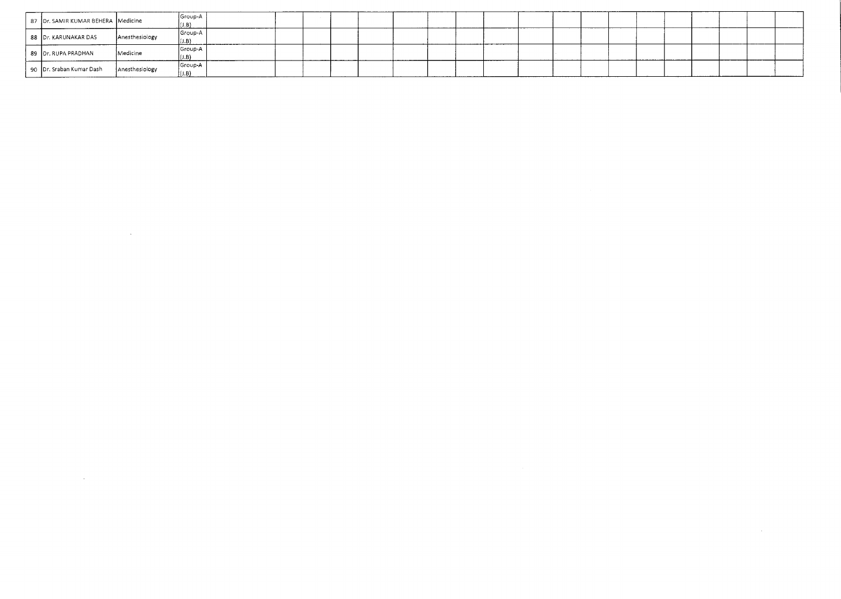| 87 Dr. SAMIR KUMAR BEHERA Medicine |                | Group-A        |  |          |          |  |               |  |  |  |  |  |
|------------------------------------|----------------|----------------|--|----------|----------|--|---------------|--|--|--|--|--|
| 88 Dr. KARUNAKAR DAS               | Anesthesiology | Group-A        |  |          |          |  | ------------- |  |  |  |  |  |
| 89 Dr. RUPA PRADHAN                | Medicine       | Group-A        |  | ________ | -------- |  |               |  |  |  |  |  |
| 90 Dr. Sraban Kumar Dash           | Anesthesiology | Group A<br>, ب |  |          |          |  |               |  |  |  |  |  |

 $\mathcal{L}(\mathcal{L}^{\mathcal{L}})$  and  $\mathcal{L}^{\mathcal{L}}$  are the set of the set of  $\mathcal{L}^{\mathcal{L}}$ 

 $\mathcal{L}(\mathcal{L}(\mathcal{L}))$  and  $\mathcal{L}(\mathcal{L}(\mathcal{L}))$  . The contribution of the contribution of  $\mathcal{L}(\mathcal{L})$ 

 $\label{eq:2.1} \mathcal{H} = \mathcal{H} \left( \mathcal{H} \right) \left( \mathcal{H} \right) \left( \mathcal{H} \right) \left( \mathcal{H} \right) \left( \mathcal{H} \right) \left( \mathcal{H} \right)$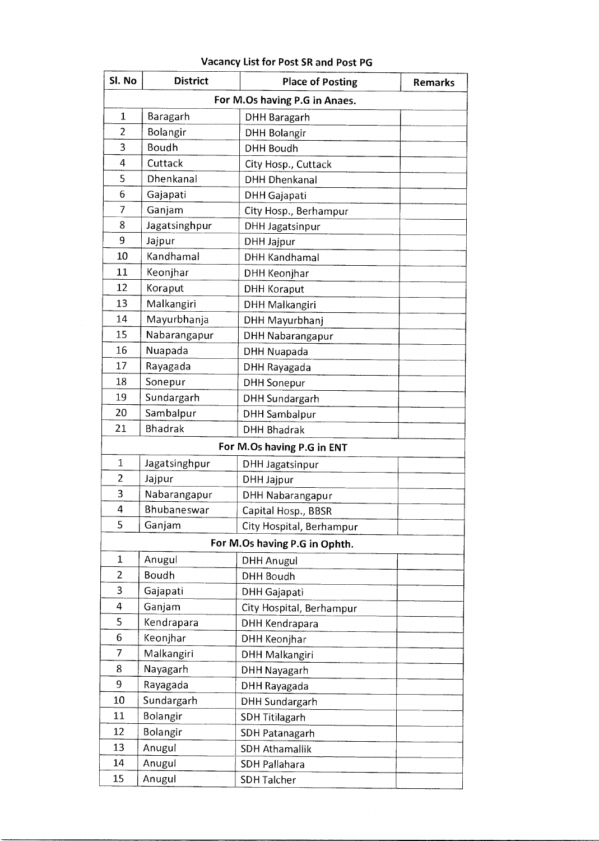| For M.Os having P.G in Anaes.<br>$\mathbf{1}$<br>Baragarh<br><b>DHH Baragarh</b><br>$\overline{2}$<br>Bolangir<br><b>DHH Bolangir</b><br>3<br>Boudh<br><b>DHH Boudh</b><br>4<br>Cuttack<br>City Hosp., Cuttack<br>5<br>Dhenkanal<br><b>DHH Dhenkanal</b><br>6<br>Gajapati<br><b>DHH</b> Gajapati<br>7<br>Ganjam<br>City Hosp., Berhampur<br>Jagatsinghpur<br>8<br><b>DHH Jagatsinpur</b><br>9<br>Jajpur<br><b>DHH Jajpur</b><br>Kandhamal<br>10<br><b>DHH Kandhamal</b><br>11<br>Keonjhar<br>DHH Keonjhar<br>12<br>Koraput<br><b>DHH Koraput</b><br>13<br>Malkangiri<br>DHH Malkangiri<br>14<br>Mayurbhanja<br>DHH Mayurbhanj<br>15<br>Nabarangapur<br><b>DHH Nabarangapur</b><br>16<br>Nuapada<br>DHH Nuapada<br>17<br>Rayagada<br>DHH Rayagada<br>18<br>Sonepur<br><b>DHH Sonepur</b><br>19<br>Sundargarh<br><b>DHH Sundargarh</b><br>20<br>Sambalpur<br><b>DHH Sambalpur</b><br><b>Bhadrak</b><br>21<br><b>DHH Bhadrak</b><br>For M.Os having P.G in ENT<br>1<br>Jagatsinghpur<br><b>DHH Jagatsinpur</b><br>$\overline{2}$<br>Jajpur<br>DHH Jajpur<br>3<br>Nabarangapur<br><b>DHH Nabarangapur</b><br>4<br>Bhubaneswar<br>Capital Hosp., BBSR<br>5<br>Ganjam<br>City Hospital, Berhampur<br>For M.Os having P.G in Ophth.<br>$\mathbf{1}$<br>Anugul<br><b>DHH Anugul</b><br>Boudh<br>2<br><b>DHH Boudh</b><br>3<br>Gajapati<br>DHH Gajapati<br>4<br>Ganjam<br>City Hospital, Berhampur<br>5<br>Kendrapara<br>DHH Kendrapara<br>6<br>Keonjhar<br><b>DHH Keonjhar</b><br>7<br>Malkangiri<br><b>DHH Malkangiri</b><br>8<br>Nayagarh<br><b>DHH Nayagarh</b><br>9<br>Rayagada<br>DHH Rayagada<br>10<br>Sundargarh<br><b>DHH Sundargarh</b><br>11<br>Bolangir<br><b>SDH Titilagarh</b><br>12<br>Bolangir<br>SDH Patanagarh<br>13<br>Anugul<br><b>SDH Athamallik</b><br>14<br>Anugul<br>SDH Pallahara<br>15<br>Anugul<br><b>SDH Talcher</b> | SI. No | <b>District</b> | <b>Place of Posting</b> | <b>Remarks</b> |
|-----------------------------------------------------------------------------------------------------------------------------------------------------------------------------------------------------------------------------------------------------------------------------------------------------------------------------------------------------------------------------------------------------------------------------------------------------------------------------------------------------------------------------------------------------------------------------------------------------------------------------------------------------------------------------------------------------------------------------------------------------------------------------------------------------------------------------------------------------------------------------------------------------------------------------------------------------------------------------------------------------------------------------------------------------------------------------------------------------------------------------------------------------------------------------------------------------------------------------------------------------------------------------------------------------------------------------------------------------------------------------------------------------------------------------------------------------------------------------------------------------------------------------------------------------------------------------------------------------------------------------------------------------------------------------------------------------------------------------------------------------------------------------------------------------------------------------------------|--------|-----------------|-------------------------|----------------|
|                                                                                                                                                                                                                                                                                                                                                                                                                                                                                                                                                                                                                                                                                                                                                                                                                                                                                                                                                                                                                                                                                                                                                                                                                                                                                                                                                                                                                                                                                                                                                                                                                                                                                                                                                                                                                                         |        |                 |                         |                |
|                                                                                                                                                                                                                                                                                                                                                                                                                                                                                                                                                                                                                                                                                                                                                                                                                                                                                                                                                                                                                                                                                                                                                                                                                                                                                                                                                                                                                                                                                                                                                                                                                                                                                                                                                                                                                                         |        |                 |                         |                |
|                                                                                                                                                                                                                                                                                                                                                                                                                                                                                                                                                                                                                                                                                                                                                                                                                                                                                                                                                                                                                                                                                                                                                                                                                                                                                                                                                                                                                                                                                                                                                                                                                                                                                                                                                                                                                                         |        |                 |                         |                |
|                                                                                                                                                                                                                                                                                                                                                                                                                                                                                                                                                                                                                                                                                                                                                                                                                                                                                                                                                                                                                                                                                                                                                                                                                                                                                                                                                                                                                                                                                                                                                                                                                                                                                                                                                                                                                                         |        |                 |                         |                |
|                                                                                                                                                                                                                                                                                                                                                                                                                                                                                                                                                                                                                                                                                                                                                                                                                                                                                                                                                                                                                                                                                                                                                                                                                                                                                                                                                                                                                                                                                                                                                                                                                                                                                                                                                                                                                                         |        |                 |                         |                |
|                                                                                                                                                                                                                                                                                                                                                                                                                                                                                                                                                                                                                                                                                                                                                                                                                                                                                                                                                                                                                                                                                                                                                                                                                                                                                                                                                                                                                                                                                                                                                                                                                                                                                                                                                                                                                                         |        |                 |                         |                |
|                                                                                                                                                                                                                                                                                                                                                                                                                                                                                                                                                                                                                                                                                                                                                                                                                                                                                                                                                                                                                                                                                                                                                                                                                                                                                                                                                                                                                                                                                                                                                                                                                                                                                                                                                                                                                                         |        |                 |                         |                |
|                                                                                                                                                                                                                                                                                                                                                                                                                                                                                                                                                                                                                                                                                                                                                                                                                                                                                                                                                                                                                                                                                                                                                                                                                                                                                                                                                                                                                                                                                                                                                                                                                                                                                                                                                                                                                                         |        |                 |                         |                |
|                                                                                                                                                                                                                                                                                                                                                                                                                                                                                                                                                                                                                                                                                                                                                                                                                                                                                                                                                                                                                                                                                                                                                                                                                                                                                                                                                                                                                                                                                                                                                                                                                                                                                                                                                                                                                                         |        |                 |                         |                |
|                                                                                                                                                                                                                                                                                                                                                                                                                                                                                                                                                                                                                                                                                                                                                                                                                                                                                                                                                                                                                                                                                                                                                                                                                                                                                                                                                                                                                                                                                                                                                                                                                                                                                                                                                                                                                                         |        |                 |                         |                |
|                                                                                                                                                                                                                                                                                                                                                                                                                                                                                                                                                                                                                                                                                                                                                                                                                                                                                                                                                                                                                                                                                                                                                                                                                                                                                                                                                                                                                                                                                                                                                                                                                                                                                                                                                                                                                                         |        |                 |                         |                |
|                                                                                                                                                                                                                                                                                                                                                                                                                                                                                                                                                                                                                                                                                                                                                                                                                                                                                                                                                                                                                                                                                                                                                                                                                                                                                                                                                                                                                                                                                                                                                                                                                                                                                                                                                                                                                                         |        |                 |                         |                |
|                                                                                                                                                                                                                                                                                                                                                                                                                                                                                                                                                                                                                                                                                                                                                                                                                                                                                                                                                                                                                                                                                                                                                                                                                                                                                                                                                                                                                                                                                                                                                                                                                                                                                                                                                                                                                                         |        |                 |                         |                |
|                                                                                                                                                                                                                                                                                                                                                                                                                                                                                                                                                                                                                                                                                                                                                                                                                                                                                                                                                                                                                                                                                                                                                                                                                                                                                                                                                                                                                                                                                                                                                                                                                                                                                                                                                                                                                                         |        |                 |                         |                |
|                                                                                                                                                                                                                                                                                                                                                                                                                                                                                                                                                                                                                                                                                                                                                                                                                                                                                                                                                                                                                                                                                                                                                                                                                                                                                                                                                                                                                                                                                                                                                                                                                                                                                                                                                                                                                                         |        |                 |                         |                |
|                                                                                                                                                                                                                                                                                                                                                                                                                                                                                                                                                                                                                                                                                                                                                                                                                                                                                                                                                                                                                                                                                                                                                                                                                                                                                                                                                                                                                                                                                                                                                                                                                                                                                                                                                                                                                                         |        |                 |                         |                |
|                                                                                                                                                                                                                                                                                                                                                                                                                                                                                                                                                                                                                                                                                                                                                                                                                                                                                                                                                                                                                                                                                                                                                                                                                                                                                                                                                                                                                                                                                                                                                                                                                                                                                                                                                                                                                                         |        |                 |                         |                |
|                                                                                                                                                                                                                                                                                                                                                                                                                                                                                                                                                                                                                                                                                                                                                                                                                                                                                                                                                                                                                                                                                                                                                                                                                                                                                                                                                                                                                                                                                                                                                                                                                                                                                                                                                                                                                                         |        |                 |                         |                |
|                                                                                                                                                                                                                                                                                                                                                                                                                                                                                                                                                                                                                                                                                                                                                                                                                                                                                                                                                                                                                                                                                                                                                                                                                                                                                                                                                                                                                                                                                                                                                                                                                                                                                                                                                                                                                                         |        |                 |                         |                |
|                                                                                                                                                                                                                                                                                                                                                                                                                                                                                                                                                                                                                                                                                                                                                                                                                                                                                                                                                                                                                                                                                                                                                                                                                                                                                                                                                                                                                                                                                                                                                                                                                                                                                                                                                                                                                                         |        |                 |                         |                |
|                                                                                                                                                                                                                                                                                                                                                                                                                                                                                                                                                                                                                                                                                                                                                                                                                                                                                                                                                                                                                                                                                                                                                                                                                                                                                                                                                                                                                                                                                                                                                                                                                                                                                                                                                                                                                                         |        |                 |                         |                |
|                                                                                                                                                                                                                                                                                                                                                                                                                                                                                                                                                                                                                                                                                                                                                                                                                                                                                                                                                                                                                                                                                                                                                                                                                                                                                                                                                                                                                                                                                                                                                                                                                                                                                                                                                                                                                                         |        |                 |                         |                |
|                                                                                                                                                                                                                                                                                                                                                                                                                                                                                                                                                                                                                                                                                                                                                                                                                                                                                                                                                                                                                                                                                                                                                                                                                                                                                                                                                                                                                                                                                                                                                                                                                                                                                                                                                                                                                                         |        |                 |                         |                |
|                                                                                                                                                                                                                                                                                                                                                                                                                                                                                                                                                                                                                                                                                                                                                                                                                                                                                                                                                                                                                                                                                                                                                                                                                                                                                                                                                                                                                                                                                                                                                                                                                                                                                                                                                                                                                                         |        |                 |                         |                |
|                                                                                                                                                                                                                                                                                                                                                                                                                                                                                                                                                                                                                                                                                                                                                                                                                                                                                                                                                                                                                                                                                                                                                                                                                                                                                                                                                                                                                                                                                                                                                                                                                                                                                                                                                                                                                                         |        |                 |                         |                |
|                                                                                                                                                                                                                                                                                                                                                                                                                                                                                                                                                                                                                                                                                                                                                                                                                                                                                                                                                                                                                                                                                                                                                                                                                                                                                                                                                                                                                                                                                                                                                                                                                                                                                                                                                                                                                                         |        |                 |                         |                |
|                                                                                                                                                                                                                                                                                                                                                                                                                                                                                                                                                                                                                                                                                                                                                                                                                                                                                                                                                                                                                                                                                                                                                                                                                                                                                                                                                                                                                                                                                                                                                                                                                                                                                                                                                                                                                                         |        |                 |                         |                |
|                                                                                                                                                                                                                                                                                                                                                                                                                                                                                                                                                                                                                                                                                                                                                                                                                                                                                                                                                                                                                                                                                                                                                                                                                                                                                                                                                                                                                                                                                                                                                                                                                                                                                                                                                                                                                                         |        |                 |                         |                |
|                                                                                                                                                                                                                                                                                                                                                                                                                                                                                                                                                                                                                                                                                                                                                                                                                                                                                                                                                                                                                                                                                                                                                                                                                                                                                                                                                                                                                                                                                                                                                                                                                                                                                                                                                                                                                                         |        |                 |                         |                |
|                                                                                                                                                                                                                                                                                                                                                                                                                                                                                                                                                                                                                                                                                                                                                                                                                                                                                                                                                                                                                                                                                                                                                                                                                                                                                                                                                                                                                                                                                                                                                                                                                                                                                                                                                                                                                                         |        |                 |                         |                |
|                                                                                                                                                                                                                                                                                                                                                                                                                                                                                                                                                                                                                                                                                                                                                                                                                                                                                                                                                                                                                                                                                                                                                                                                                                                                                                                                                                                                                                                                                                                                                                                                                                                                                                                                                                                                                                         |        |                 |                         |                |
|                                                                                                                                                                                                                                                                                                                                                                                                                                                                                                                                                                                                                                                                                                                                                                                                                                                                                                                                                                                                                                                                                                                                                                                                                                                                                                                                                                                                                                                                                                                                                                                                                                                                                                                                                                                                                                         |        |                 |                         |                |
|                                                                                                                                                                                                                                                                                                                                                                                                                                                                                                                                                                                                                                                                                                                                                                                                                                                                                                                                                                                                                                                                                                                                                                                                                                                                                                                                                                                                                                                                                                                                                                                                                                                                                                                                                                                                                                         |        |                 |                         |                |
|                                                                                                                                                                                                                                                                                                                                                                                                                                                                                                                                                                                                                                                                                                                                                                                                                                                                                                                                                                                                                                                                                                                                                                                                                                                                                                                                                                                                                                                                                                                                                                                                                                                                                                                                                                                                                                         |        |                 |                         |                |
|                                                                                                                                                                                                                                                                                                                                                                                                                                                                                                                                                                                                                                                                                                                                                                                                                                                                                                                                                                                                                                                                                                                                                                                                                                                                                                                                                                                                                                                                                                                                                                                                                                                                                                                                                                                                                                         |        |                 |                         |                |
|                                                                                                                                                                                                                                                                                                                                                                                                                                                                                                                                                                                                                                                                                                                                                                                                                                                                                                                                                                                                                                                                                                                                                                                                                                                                                                                                                                                                                                                                                                                                                                                                                                                                                                                                                                                                                                         |        |                 |                         |                |
|                                                                                                                                                                                                                                                                                                                                                                                                                                                                                                                                                                                                                                                                                                                                                                                                                                                                                                                                                                                                                                                                                                                                                                                                                                                                                                                                                                                                                                                                                                                                                                                                                                                                                                                                                                                                                                         |        |                 |                         |                |
|                                                                                                                                                                                                                                                                                                                                                                                                                                                                                                                                                                                                                                                                                                                                                                                                                                                                                                                                                                                                                                                                                                                                                                                                                                                                                                                                                                                                                                                                                                                                                                                                                                                                                                                                                                                                                                         |        |                 |                         |                |
|                                                                                                                                                                                                                                                                                                                                                                                                                                                                                                                                                                                                                                                                                                                                                                                                                                                                                                                                                                                                                                                                                                                                                                                                                                                                                                                                                                                                                                                                                                                                                                                                                                                                                                                                                                                                                                         |        |                 |                         |                |
|                                                                                                                                                                                                                                                                                                                                                                                                                                                                                                                                                                                                                                                                                                                                                                                                                                                                                                                                                                                                                                                                                                                                                                                                                                                                                                                                                                                                                                                                                                                                                                                                                                                                                                                                                                                                                                         |        |                 |                         |                |
|                                                                                                                                                                                                                                                                                                                                                                                                                                                                                                                                                                                                                                                                                                                                                                                                                                                                                                                                                                                                                                                                                                                                                                                                                                                                                                                                                                                                                                                                                                                                                                                                                                                                                                                                                                                                                                         |        |                 |                         |                |
|                                                                                                                                                                                                                                                                                                                                                                                                                                                                                                                                                                                                                                                                                                                                                                                                                                                                                                                                                                                                                                                                                                                                                                                                                                                                                                                                                                                                                                                                                                                                                                                                                                                                                                                                                                                                                                         |        |                 |                         |                |
|                                                                                                                                                                                                                                                                                                                                                                                                                                                                                                                                                                                                                                                                                                                                                                                                                                                                                                                                                                                                                                                                                                                                                                                                                                                                                                                                                                                                                                                                                                                                                                                                                                                                                                                                                                                                                                         |        |                 |                         |                |
|                                                                                                                                                                                                                                                                                                                                                                                                                                                                                                                                                                                                                                                                                                                                                                                                                                                                                                                                                                                                                                                                                                                                                                                                                                                                                                                                                                                                                                                                                                                                                                                                                                                                                                                                                                                                                                         |        |                 |                         |                |

## **Vacancy List for Post SR and Post PG**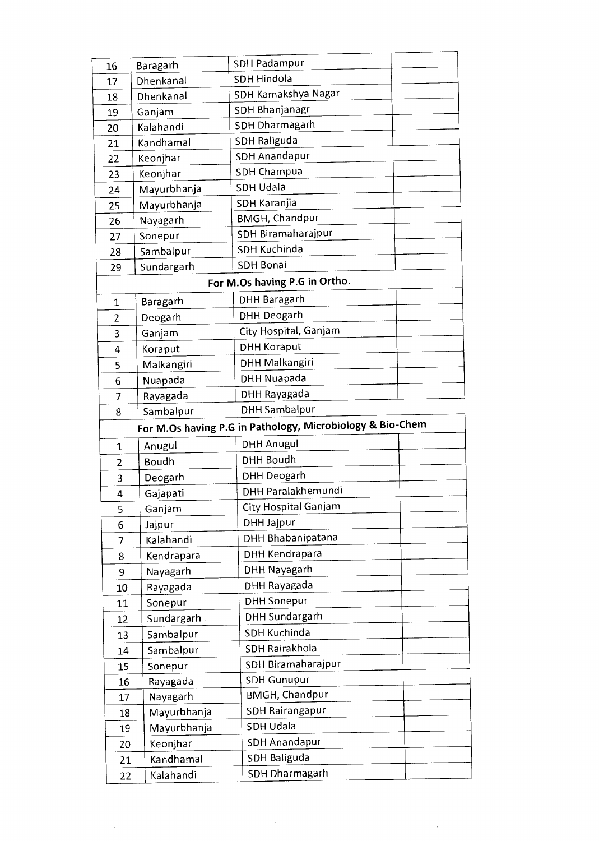| 16             | Baragarh            | <b>SDH Padampur</b>                                                            |  |
|----------------|---------------------|--------------------------------------------------------------------------------|--|
| 17             | Dhenkanal           | <b>SDH Hindola</b>                                                             |  |
| 18             | Dhenkanal           | SDH Kamakshya Nagar                                                            |  |
| 19             | Ganjam              | SDH Bhanjanagr                                                                 |  |
| 20             | Kalahandi           | SDH Dharmagarh                                                                 |  |
| 21             | Kandhamal           | SDH Baliguda                                                                   |  |
| 22             | Keonjhar            | <b>SDH Anandapur</b>                                                           |  |
| 23             | Keonjhar            | <b>SDH Champua</b>                                                             |  |
| 24             | Mayurbhanja         | <b>SDH Udala</b>                                                               |  |
| 25             | Mayurbhanja         | SDH Karanjia                                                                   |  |
| 26             | Nayagarh            | <b>BMGH, Chandpur</b>                                                          |  |
| 27             | Sonepur             | SDH Biramaharajpur                                                             |  |
| 28             | Sambalpur           | SDH Kuchinda                                                                   |  |
| 29             | Sundargarh          | <b>SDH Bonai</b>                                                               |  |
|                |                     | For M.Os having P.G in Ortho.                                                  |  |
| 1              | Baragarh            | <b>DHH Baragarh</b>                                                            |  |
| $\overline{2}$ | Deogarh             | DHH Deogarh                                                                    |  |
| 3              | Ganjam              | City Hospital, Ganjam                                                          |  |
| 4              | Koraput             | <b>DHH Koraput</b>                                                             |  |
| 5              | Malkangiri          | <b>DHH Malkangiri</b>                                                          |  |
| 6              | Nuapada             | <b>DHH Nuapada</b>                                                             |  |
| 7              | Rayagada            | DHH Rayagada                                                                   |  |
| 8              | Sambalpur           | <b>DHH Sambalpur</b>                                                           |  |
|                |                     |                                                                                |  |
|                |                     |                                                                                |  |
| 1              | Anugul              | For M.Os having P.G in Pathology, Microbiology & Bio-Chem<br><b>DHH Anugul</b> |  |
| $\overline{2}$ | Boudh               | DHH Boudh                                                                      |  |
|                |                     | <b>DHH Deogarh</b>                                                             |  |
| 3<br>4         | Deogarh             | DHH Paralakhemundi                                                             |  |
| 5              | Gajapati            | City Hospital Ganjam                                                           |  |
| 6              | Ganjam              | DHH Jajpur                                                                     |  |
| 7              | Jajpur<br>Kalahandi | DHH Bhabanipatana                                                              |  |
| 8              | Kendrapara          | DHH Kendrapara                                                                 |  |
| 9              | Nayagarh            | <b>DHH Nayagarh</b>                                                            |  |
| 10             | Rayagada            | DHH Rayagada                                                                   |  |
| 11             | Sonepur             | <b>DHH Sonepur</b>                                                             |  |
| 12             | Sundargarh          | DHH Sundargarh                                                                 |  |
| 13             | Sambalpur           | <b>SDH Kuchinda</b>                                                            |  |
| 14             | Sambalpur           | SDH Rairakhola                                                                 |  |
| 15             | Sonepur             | SDH Biramaharajpur                                                             |  |
| 16             | Rayagada            | <b>SDH Gunupur</b>                                                             |  |
| 17             | Nayagarh            | <b>BMGH, Chandpur</b>                                                          |  |
| 18             | Mayurbhanja         | SDH Rairangapur                                                                |  |
| 19             | Mayurbhanja         | SDH Udala                                                                      |  |
| 20             | Keonjhar            | <b>SDH Anandapur</b>                                                           |  |
| 21             | Kandhamal           | SDH Baliguda                                                                   |  |

 $\label{eq:1} \frac{1}{\sqrt{2}}\int_{\mathbb{R}^3}\frac{1}{\sqrt{2}}\left(\frac{1}{\sqrt{2}}\right)^2\frac{dx}{\sqrt{2}}dx$ 

 $\label{eq:2} \begin{split} \frac{1}{\sqrt{2}}\frac{1}{\sqrt{2}}\left(\frac{1}{\sqrt{2}}\right) & = \frac{1}{2}\frac{1}{\sqrt{2}}\left(\frac{1}{\sqrt{2}}\right) & = \frac{1}{2}\frac{1}{2}\left(\frac{1}{2}\right) & = \frac{1}{2}\frac{1}{2}\left(\frac{1}{2}\right) & = \frac{1}{2}\frac{1}{2}\left(\frac{1}{2}\right) & = \frac{1}{2}\frac{1}{2}\left(\frac{1}{2}\right) & = \frac{1}{2}\frac{1}{2}\left(\frac{1}{2}\right) & = \frac{1}{2}\frac{1}{2}\$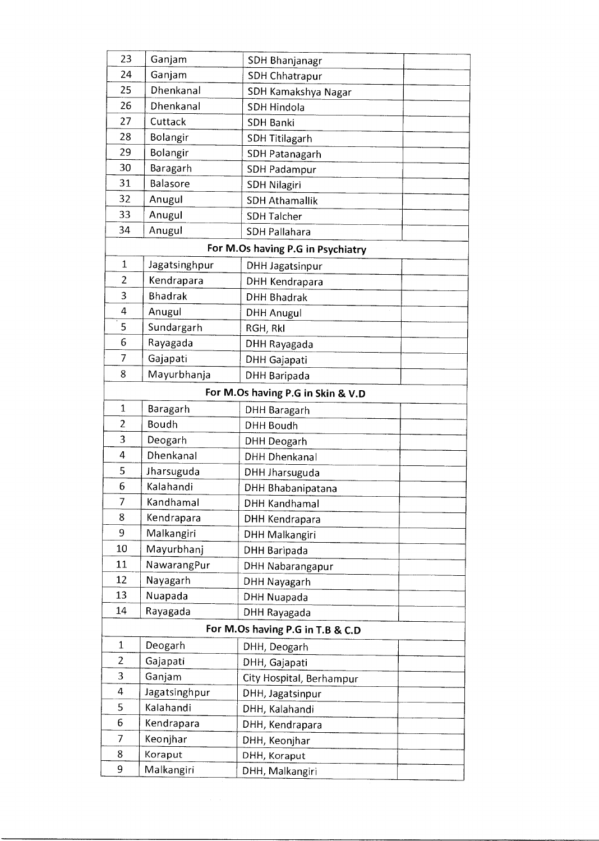| 23             | Ganjam         | SDH Bhanjanagr                    |  |
|----------------|----------------|-----------------------------------|--|
| 24             | Ganjam         | <b>SDH Chhatrapur</b>             |  |
| 25             | Dhenkanal      | SDH Kamakshya Nagar               |  |
| 26             | Dhenkanal      | <b>SDH Hindola</b>                |  |
| 27             | Cuttack        | <b>SDH Banki</b>                  |  |
| 28             | Bolangir       | <b>SDH Titilagarh</b>             |  |
| 29             | Bolangir       | <b>SDH Patanagarh</b>             |  |
| 30             | Baragarh       | SDH Padampur                      |  |
| 31             | Balasore       | <b>SDH Nilagiri</b>               |  |
| 32             | Anugul         | <b>SDH Athamallik</b>             |  |
| 33             | Anugul         | <b>SDH Talcher</b>                |  |
| 34             | Anugul         | <b>SDH Pallahara</b>              |  |
|                |                | For M.Os having P.G in Psychiatry |  |
| $\mathbf 1$    | Jagatsinghpur  | DHH Jagatsinpur                   |  |
| 2              | Kendrapara     | <b>DHH Kendrapara</b>             |  |
| 3              | <b>Bhadrak</b> | <b>DHH Bhadrak</b>                |  |
| 4              | Anugul         | <b>DHH Anugul</b>                 |  |
| 5              | Sundargarh     | RGH, RkI                          |  |
| 6              | Rayagada       | DHH Rayagada                      |  |
| 7              | Gajapati       | DHH Gajapati                      |  |
| 8              | Mayurbhanja    | DHH Baripada                      |  |
|                |                | For M.Os having P.G in Skin & V.D |  |
| $\mathbf{1}$   | Baragarh       | <b>DHH Baragarh</b>               |  |
| $\overline{2}$ | Boudh          | <b>DHH Boudh</b>                  |  |
| 3              | Deogarh        | <b>DHH Deogarh</b>                |  |
| 4              | Dhenkanal      | <b>DHH Dhenkanal</b>              |  |
| 5              | Jharsuguda     | DHH Jharsuguda                    |  |
| 6              | Kalahandi      | DHH Bhabanipatana                 |  |
| $\overline{7}$ | Kandhamal      | <b>DHH Kandhamal</b>              |  |
| 8              | Kendrapara     | DHH Kendrapara                    |  |
| 9              | Malkangiri     | DHH Malkangiri                    |  |
| 10             | Mayurbhanj     | DHH Baripada                      |  |
| 11             | NawarangPur    | DHH Nabarangapur                  |  |
| 12             | Nayagarh       | DHH Nayagarh                      |  |
| 13             | Nuapada        | DHH Nuapada                       |  |
| 14             | Rayagada       | DHH Rayagada                      |  |
|                |                | For M.Os having P.G in T.B & C.D  |  |
| $\mathbf{1}$   | Deogarh        | DHH, Deogarh                      |  |
| $\overline{2}$ | Gajapati       | DHH, Gajapati                     |  |
| 3              | Ganjam         | City Hospital, Berhampur          |  |
| 4              | Jagatsinghpur  | DHH, Jagatsinpur                  |  |
| 5              | Kalahandi      | DHH, Kalahandi                    |  |
| 6              | Kendrapara     | DHH, Kendrapara                   |  |
| 7              | Keonjhar       | DHH, Keonjhar                     |  |
| 8              | Koraput        | DHH, Koraput                      |  |
|                |                |                                   |  |
| 9              | Malkangiri     | DHH, Malkangiri                   |  |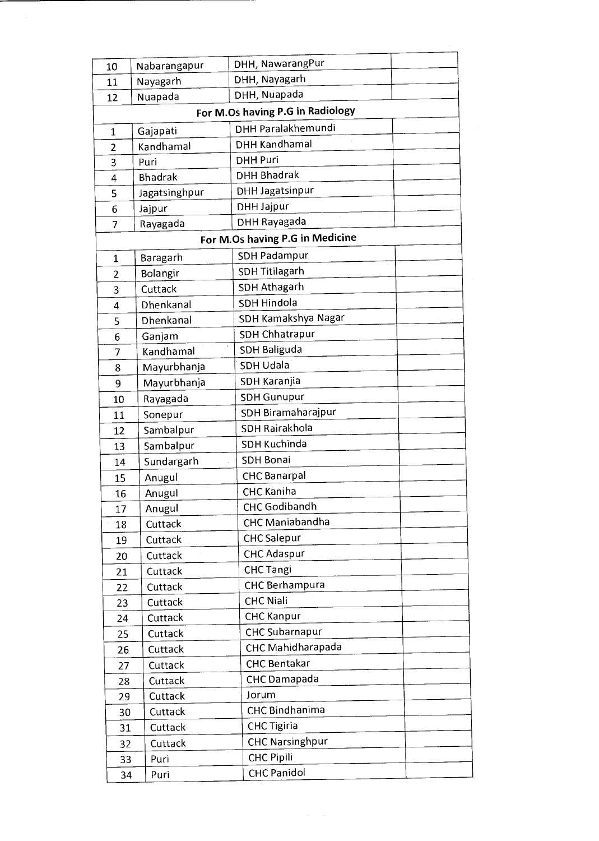| 10             | Nabarangapur   | DHH, NawarangPur                 |  |
|----------------|----------------|----------------------------------|--|
| 11             | Nayagarh       | DHH, Nayagarh                    |  |
| 12             | Nuapada        | DHH, Nuapada                     |  |
|                |                | For M.Os having P.G in Radiology |  |
| $\mathbf{1}$   | Gajapati       | DHH Paralakhemundi               |  |
| $\overline{2}$ | Kandhamal      | <b>DHH Kandhamal</b>             |  |
| 3              | Puri           | <b>DHH Puri</b>                  |  |
| 4              | <b>Bhadrak</b> | <b>DHH Bhadrak</b>               |  |
| 5              | Jagatsinghpur  | <b>DHH Jagatsinpur</b>           |  |
| 6              | Jajpur         | DHH Jajpur                       |  |
| 7              | Rayagada       | DHH Rayagada                     |  |
|                |                | For M.Os having P.G in Medicine  |  |
| 1              | Baragarh       | <b>SDH Padampur</b>              |  |
| $\overline{2}$ | Bolangir       | <b>SDH Titilagarh</b>            |  |
| 3              | Cuttack        | <b>SDH Athagarh</b>              |  |
| 4              | Dhenkanal      | SDH Hindola                      |  |
| 5              | Dhenkanal      | SDH Kamakshya Nagar              |  |
| 6              | Ganjam         | <b>SDH Chhatrapur</b>            |  |
| 7              | Kandhamal      | SDH Baliguda                     |  |
| 8              | Mayurbhanja    | <b>SDH Udala</b>                 |  |
| 9              | Mayurbhanja    | SDH Karanjia                     |  |
| 10             | Rayagada       | <b>SDH Gunupur</b>               |  |
| 11             | Sonepur        | SDH Biramaharajpur               |  |
| 12             | Sambalpur      | SDH Rairakhola                   |  |
| 13             | Sambalpur      | <b>SDH Kuchinda</b>              |  |
| 14             | Sundargarh     | SDH Bonai                        |  |
| 15             | Anugul         | <b>CHC Banarpal</b>              |  |
| 16             | Anugul         | CHC Kaniha                       |  |
| 17             | Anugul         | CHC Godibandh                    |  |
| 18             | Cuttack        | CHC Maniabandha                  |  |
| 19             | Cuttack        | <b>CHC Salepur</b>               |  |
| 20             | Cuttack        | <b>CHC Adaspur</b>               |  |
| 21             | Cuttack        | <b>CHC Tangi</b>                 |  |
| 22             | Cuttack        | <b>CHC Berhampura</b>            |  |
| 23             | Cuttack        | <b>CHC Niali</b>                 |  |
| 24             | Cuttack        | <b>CHC Kanpur</b>                |  |
| 25             | Cuttack        | <b>CHC Subarnapur</b>            |  |
| 26             | Cuttack        | CHC Mahidharapada                |  |
| 27             | Cuttack        | <b>CHC Bentakar</b>              |  |
| 28             | Cuttack        | CHC Damapada                     |  |
| 29             | Cuttack        | Jorum                            |  |
| 30             | Cuttack        | <b>CHC Bindhanima</b>            |  |
| 31             | Cuttack        | <b>CHC Tigiria</b>               |  |
| 32             | Cuttack        | <b>CHC Narsinghpur</b>           |  |
| 33             | Puri           | <b>CHC Pipili</b>                |  |
| 34             | Puri           | <b>CHC Panidol</b>               |  |
|                |                |                                  |  |

 $\label{eq:1} \frac{1}{\sqrt{2}}\left(\frac{1}{\sqrt{2}}\right)^2\left(\frac{1}{2}\right)^2\left(\frac{1}{2}\right)^2.$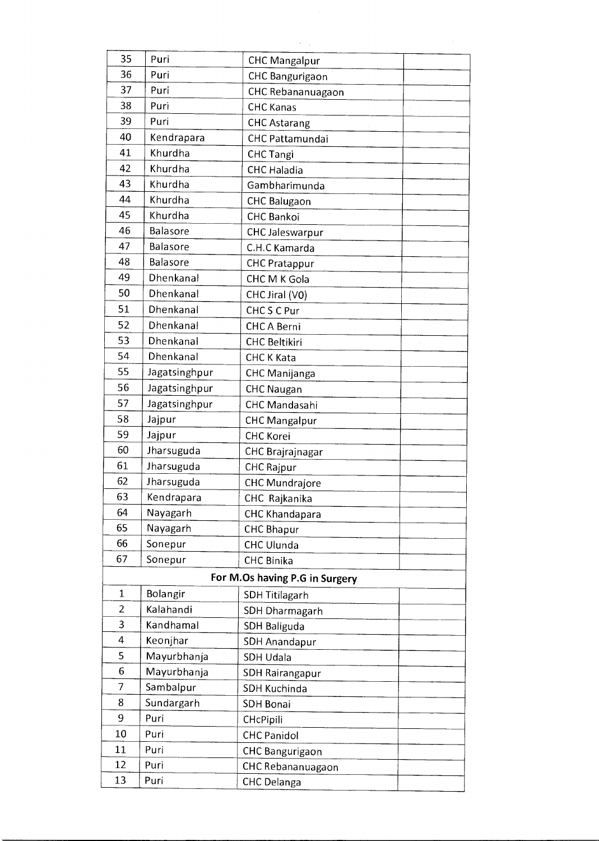| 35             | Puri            | <b>CHC Mangalpur</b>           |
|----------------|-----------------|--------------------------------|
| 36             | Puri            | CHC Bangurigaon                |
| 37             | Puri            | CHC Rebananuagaon              |
| 38             | Puri            | <b>CHC Kanas</b>               |
| 39             | Puri            | <b>CHC Astarang</b>            |
| 40             | Kendrapara      | <b>CHC Pattamundai</b>         |
| 41             | Khurdha         | <b>CHC Tangi</b>               |
| 42             | Khurdha         | <b>CHC Haladia</b>             |
| 43             | Khurdha         | Gambharimunda                  |
| 44             | Khurdha         | <b>CHC Balugaon</b>            |
| 45             | Khurdha         | <b>CHC Bankoi</b>              |
| 46             | <b>Balasore</b> | <b>CHC Jaleswarpur</b>         |
| 47             | <b>Balasore</b> | C.H.C Kamarda                  |
| 48             | Balasore        | <b>CHC Pratappur</b>           |
| 49             | Dhenkanal       | CHC M K Gola                   |
| 50             | Dhenkanal       | CHC Jiral (V0)                 |
| 51             | Dhenkanal       | CHC S C Pur                    |
| 52             | Dhenkanal       | <b>CHCA Berni</b>              |
| 53             | Dhenkanal       | <b>CHC Beltikiri</b>           |
| 54             | Dhenkanal       | CHC K Kata                     |
| 55             | Jagatsinghpur   | <b>CHC Manijanga</b>           |
| 56             | Jagatsinghpur   | <b>CHC Naugan</b>              |
| 57             | Jagatsinghpur   | <b>CHC Mandasahi</b>           |
| 58             | Jajpur          | <b>CHC Mangalpur</b>           |
| 59             | Jajpur          | <b>CHC Korei</b>               |
| 60             | Jharsuguda      | CHC Brajrajnagar               |
| 61             | Jharsuguda      | <b>CHC Rajpur</b>              |
| 62             | Jharsuguda      | <b>CHC Mundrajore</b>          |
| 63             | Kendrapara      | CHC Rajkanika                  |
| 64             | Nayagarh        | <b>CHC Khandapara</b>          |
| 65             | Nayagarh        | <b>CHC Bhapur</b>              |
| 66             | Sonepur         | <b>CHC Ulunda</b>              |
| 67             | Sonepur         | <b>CHC Binika</b>              |
|                |                 | For M.Os having P.G in Surgery |
| $\mathbf{1}$   | Bolangir        | <b>SDH Titilagarh</b>          |
| 2              | Kalahandi       | SDH Dharmagarh                 |
| 3              | Kandhamal       | SDH Baliguda                   |
| 4              | Keonjhar        | <b>SDH Anandapur</b>           |
| 5              | Mayurbhanja     | <b>SDH Udala</b>               |
| 6              | Mayurbhanja     | <b>SDH Rairangapur</b>         |
| $\overline{7}$ | Sambalpur       | SDH Kuchinda                   |
| 8              | Sundargarh      | <b>SDH Bonai</b>               |
| 9              | Puri            | CHcPipili                      |
| 10             | Puri            | <b>CHC Panidol</b>             |
| 11             | Puri            | CHC Bangurigaon                |
| 12             | Puri            | CHC Rebananuagaon              |
| 13             | Puri            | CHC Delanga                    |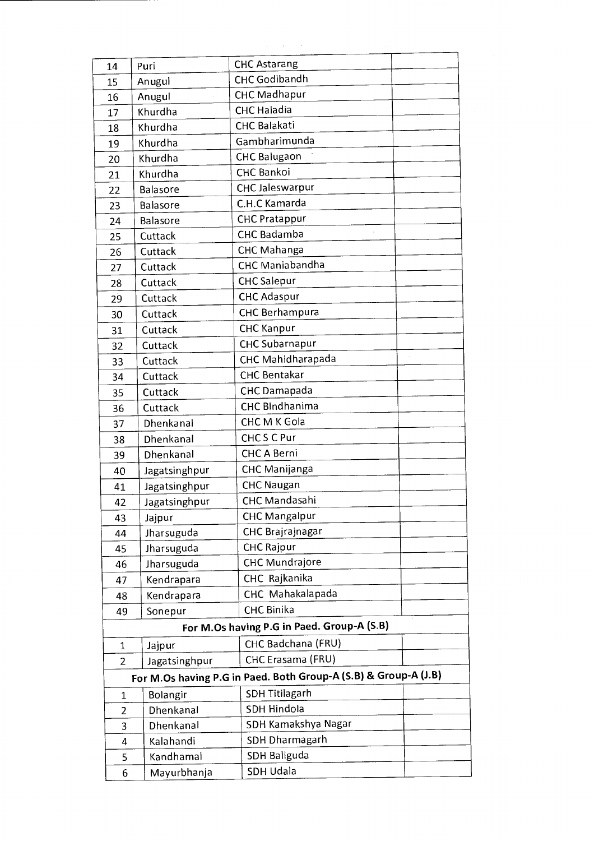| 14             | Puri             | <b>CHC Astarang</b>                                             |
|----------------|------------------|-----------------------------------------------------------------|
| 15             | Anugul           | CHC Godibandh                                                   |
| 16             | Anugul           | <b>CHC Madhapur</b>                                             |
| 17             | Khurdha          | CHC Haladia                                                     |
| 18             | Khurdha          | <b>CHC Balakati</b>                                             |
| 19             | Khurdha          | Gambharimunda                                                   |
| 20             | Khurdha          | <b>CHC Balugaon</b>                                             |
| 21             | Khurdha          | <b>CHC Bankoi</b>                                               |
| 22             | <b>Balasore</b>  | <b>CHC Jaleswarpur</b>                                          |
| 23             | Balasore         | C.H.C Kamarda                                                   |
| 24             | Balasore         | <b>CHC Pratappur</b>                                            |
| 25             | Cuttack          | CHC Badamba                                                     |
| 26             | Cuttack          | CHC Mahanga                                                     |
| 27             | Cuttack          | <b>CHC Maniabandha</b>                                          |
| 28             | Cuttack          | <b>CHC</b> Salepur                                              |
| 29             | Cuttack          | <b>CHC Adaspur</b>                                              |
| 30             | Cuttack          | <b>CHC Berhampura</b>                                           |
| 31             | Cuttack          | <b>CHC Kanpur</b>                                               |
| 32             | Cuttack          | <b>CHC Subarnapur</b>                                           |
| 33             | Cuttack          | CHC Mahidharapada                                               |
| 34             | Cuttack          | <b>CHC Bentakar</b>                                             |
| 35             | Cuttack          | CHC Damapada                                                    |
| 36             | Cuttack          | <b>CHC Bindhanima</b>                                           |
| 37             | Dhenkanal        | CHC M K Gola                                                    |
| 38             | Dhenkanal        | CHCSCPur                                                        |
| 39             | Dhenkanal        | <b>CHC A Berni</b>                                              |
| 40             | Jagatsinghpur    | CHC Manijanga                                                   |
| 41             | Jagatsinghpur    | <b>CHC Naugan</b>                                               |
| 42             | Jagatsinghpur    | CHC Mandasahi                                                   |
| 43             | Jajpur           | <b>CHC Mangalpur</b>                                            |
| 44             | Jharsuguda       | CHC Brajrajnagar                                                |
| 45             | Jharsuguda       | <b>CHC Rajpur</b>                                               |
| 46             | Jharsuguda       | <b>CHC Mundrajore</b>                                           |
| 47             | Kendrapara       | CHC Rajkanika                                                   |
| 48             | Kendrapara       | CHC Mahakalapada                                                |
| 49             | Sonepur          | <b>CHC Binika</b>                                               |
|                |                  | For M.Os having P.G in Paed. Group-A (S.B)                      |
| $\mathbf 1$    | Jajpur           | CHC Badchana (FRU)                                              |
| $\overline{2}$ | Jagatsinghpur    | CHC Erasama (FRU)                                               |
|                |                  | For M.Os having P.G in Paed. Both Group-A (S.B) & Group-A (J.B) |
|                |                  |                                                                 |
| 1              | Bolangir         | <b>SDH Titilagarh</b><br>SDH Hindola                            |
| $\overline{2}$ | Dhenkanal        |                                                                 |
|                | Dhenkanal<br>3   | SDH Kamakshya Nagar                                             |
|                | Kalahandi<br>4   | <b>SDH Dharmagarh</b>                                           |
|                | Kandhamal<br>5   | SDH Baliguda                                                    |
|                | Mayurbhanja<br>6 | SDH Udala                                                       |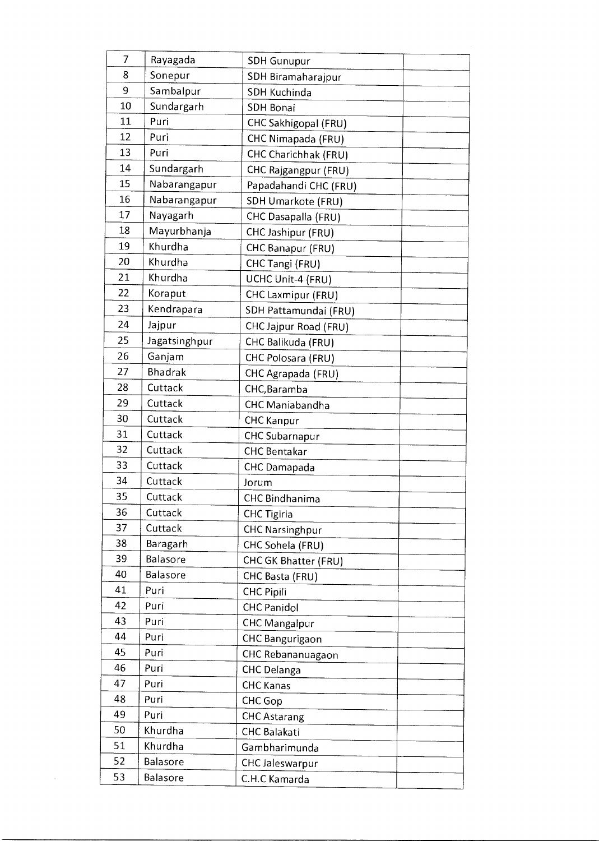| $\overline{7}$ | Rayagada      | <b>SDH Gunupur</b>     |
|----------------|---------------|------------------------|
| 8              | Sonepur       | SDH Biramaharajpur     |
| 9              | Sambalpur     | SDH Kuchinda           |
| 10             | Sundargarh    | <b>SDH Bonai</b>       |
| 11             | Puri          | CHC Sakhigopal (FRU)   |
| 12             | Puri          | CHC Nimapada (FRU)     |
| 13             | Puri          | CHC Charichhak (FRU)   |
| 14             | Sundargarh    | CHC Rajgangpur (FRU)   |
| 15             | Nabarangapur  | Papadahandi CHC (FRU)  |
| 16             | Nabarangapur  | SDH Umarkote (FRU)     |
| 17             | Nayagarh      | CHC Dasapalla (FRU)    |
| 18             | Mayurbhanja   | CHC Jashipur (FRU)     |
| 19             | Khurdha       | CHC Banapur (FRU)      |
| 20             | Khurdha       | CHC Tangi (FRU)        |
| 21             | Khurdha       | UCHC Unit-4 (FRU)      |
| 22             | Koraput       | CHC Laxmipur (FRU)     |
| 23             | Kendrapara    | SDH Pattamundai (FRU)  |
| 24             | Jajpur        | CHC Jajpur Road (FRU)  |
| 25             | Jagatsinghpur | CHC Balikuda (FRU)     |
| 26             | Ganjam        | CHC Polosara (FRU)     |
| 27             | Bhadrak       | CHC Agrapada (FRU)     |
| 28             | Cuttack       | CHC, Baramba           |
| 29             | Cuttack       | CHC Maniabandha        |
| 30             | Cuttack       | <b>CHC Kanpur</b>      |
| 31             | Cuttack       | CHC Subarnapur         |
| 32             | Cuttack       | <b>CHC Bentakar</b>    |
| 33             | Cuttack       | CHC Damapada           |
| 34             | Cuttack       | Jorum                  |
| 35             | Cuttack       | CHC Bindhanima         |
| 36             | Cuttack       | <b>CHC Tigiria</b>     |
| 37             | Cuttack       | <b>CHC Narsinghpur</b> |
| 38             | Baragarh      | CHC Sohela (FRU)       |
| 39             | Balasore      | CHC GK Bhatter (FRU)   |
| 40             | Balasore      | CHC Basta (FRU)        |
| 41             | Puri          | <b>CHC Pipili</b>      |
| 42             | Puri          | <b>CHC Panidol</b>     |
| 43             | Puri          | <b>CHC Mangalpur</b>   |
| 44             | Puri          | <b>CHC Bangurigaon</b> |
| 45             | Puri          | CHC Rebananuagaon      |
| 46             | Puri          | <b>CHC Delanga</b>     |
| 47             | Puri          | <b>CHC Kanas</b>       |
| 48             | Puri          | CHC Gop                |
| 49             | Puri          | <b>CHC Astarang</b>    |
| 50             | Khurdha       | <b>CHC Balakati</b>    |
| 51             | Khurdha       | Gambharimunda          |
| 52             | Balasore      | <b>CHC Jaleswarpur</b> |
| 53             | Balasore      | C.H.C Kamarda          |

 $\label{eq:2.1} \frac{1}{\sqrt{2\pi}}\left(\frac{1}{\sqrt{2\pi}}\right)^{2/3}\frac{1}{\sqrt{2\pi}}\left(\frac{1}{\sqrt{2\pi}}\right)^{2/3}\frac{1}{\sqrt{2\pi}}\left(\frac{1}{\sqrt{2\pi}}\right)^{2/3}\frac{1}{\sqrt{2\pi}}\left(\frac{1}{\sqrt{2\pi}}\right)^{2/3}\frac{1}{\sqrt{2\pi}}\frac{1}{\sqrt{2\pi}}\frac{1}{\sqrt{2\pi}}\frac{1}{\sqrt{2\pi}}\frac{1}{\sqrt{2\pi}}\frac{1}{\sqrt{2\pi}}\frac{1}{\sqrt$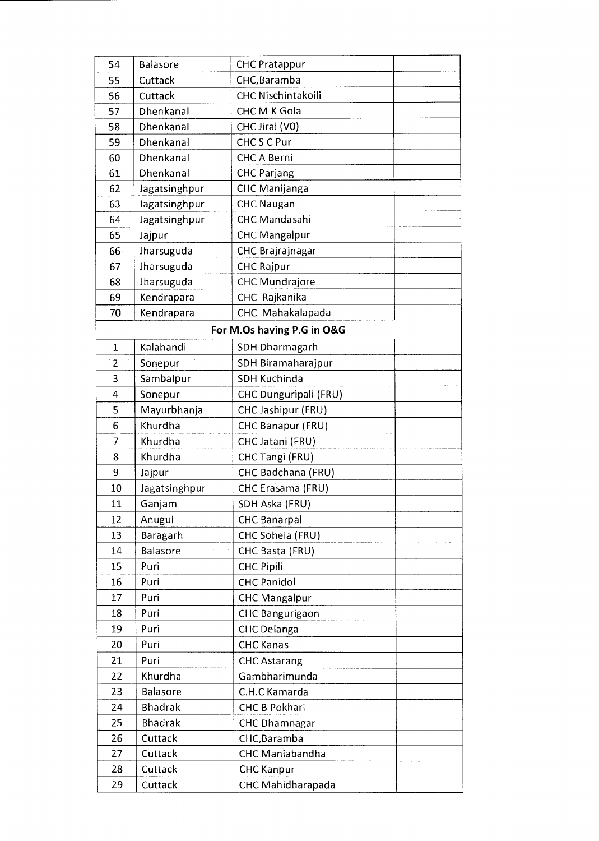| 54             | Balasore        | <b>CHC Pratappur</b>       |  |
|----------------|-----------------|----------------------------|--|
| 55             | Cuttack         | CHC, Baramba               |  |
| 56             | Cuttack         | CHC Nischintakoili         |  |
| 57             | Dhenkanal       | CHC M K Gola               |  |
| 58             | Dhenkanal       | CHC Jiral (V0)             |  |
| 59             | Dhenkanal       | CHC S C Pur                |  |
| 60             | Dhenkanal       | CHC A Berni                |  |
| 61             | Dhenkanal       | <b>CHC Parjang</b>         |  |
| 62             | Jagatsinghpur   | CHC Manijanga              |  |
| 63             | Jagatsinghpur   | <b>CHC Naugan</b>          |  |
| 64             | Jagatsinghpur   | CHC Mandasahi              |  |
| 65             | Jajpur          | <b>CHC Mangalpur</b>       |  |
| 66             | Jharsuguda      | CHC Brajrajnagar           |  |
| 67             | Jharsuguda      | <b>CHC Rajpur</b>          |  |
| 68             | Jharsuguda      | <b>CHC Mundrajore</b>      |  |
| 69             | Kendrapara      | CHC Rajkanika              |  |
| 70             | Kendrapara      | CHC Mahakalapada           |  |
|                |                 | For M.Os having P.G in O&G |  |
| $\mathbf 1$    | Kalahandi       | <b>SDH Dharmagarh</b>      |  |
| $\overline{2}$ | Sonepur         | SDH Biramaharajpur         |  |
| 3              | Sambalpur       | <b>SDH Kuchinda</b>        |  |
| 4              | Sonepur         | CHC Dunguripali (FRU)      |  |
| 5              | Mayurbhanja     | CHC Jashipur (FRU)         |  |
| 6              | Khurdha         | CHC Banapur (FRU)          |  |
| 7              | Khurdha         | CHC Jatani (FRU)           |  |
| 8              | Khurdha         | CHC Tangi (FRU)            |  |
| 9              | Jajpur          | CHC Badchana (FRU)         |  |
| 10             | Jagatsinghpur   | CHC Erasama (FRU)          |  |
| 11             | Ganjam          | SDH Aska (FRU)             |  |
| 12             | Anugul          | <b>CHC Banarpal</b>        |  |
| 13             | Baragarh        | CHC Sohela (FRU)           |  |
| 14             | <b>Balasore</b> | CHC Basta (FRU)            |  |
| 15             | Puri            | <b>CHC Pipili</b>          |  |
| 16             | Puri            | <b>CHC Panidol</b>         |  |
| 17             | Puri            | <b>CHC Mangalpur</b>       |  |
| 18             | Puri            | CHC Bangurigaon            |  |
| 19             | Puri            | <b>CHC Delanga</b>         |  |
| 20             | Puri            | <b>CHC Kanas</b>           |  |
| 21             | Puri            | <b>CHC Astarang</b>        |  |
| 22             | Khurdha         | Gambharimunda              |  |
| 23             | Balasore        | C.H.C Kamarda              |  |
| 24             | <b>Bhadrak</b>  | <b>CHC B Pokhari</b>       |  |
| 25             | <b>Bhadrak</b>  | <b>CHC Dhamnagar</b>       |  |
| 26             | Cuttack         | CHC, Baramba               |  |
| 27             | Cuttack         | CHC Maniabandha            |  |
| 28             | Cuttack         | <b>CHC Kanpur</b>          |  |
| 29             | Cuttack         | CHC Mahidharapada          |  |